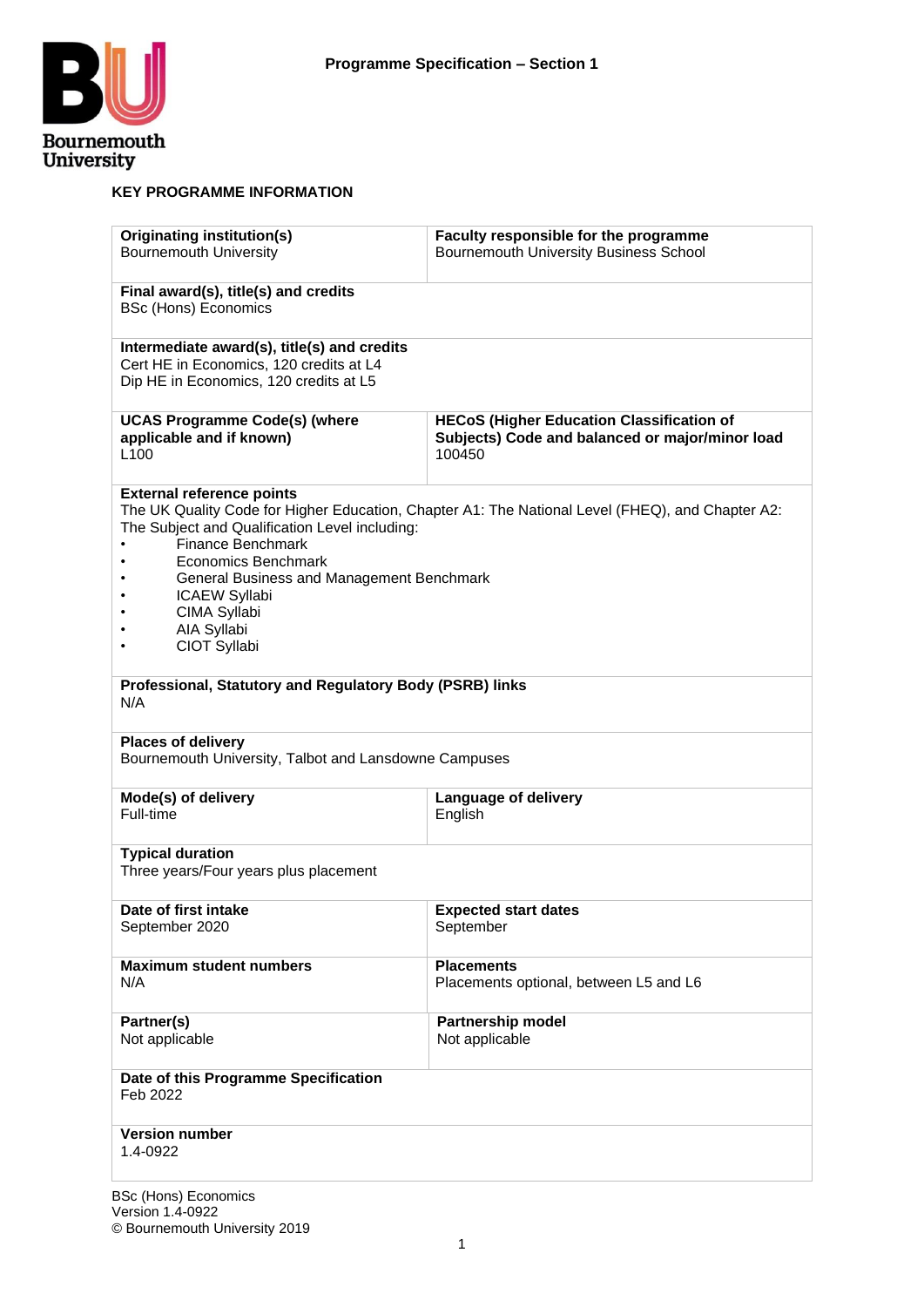

#### **KEY PROGRAMME INFORMATION**

| <b>Originating institution(s)</b><br><b>Bournemouth University</b>                                                                                                                                                                                                                                                                                                                                                               | Faculty responsible for the programme<br><b>Bournemouth University Business School</b>                        |  |  |  |  |
|----------------------------------------------------------------------------------------------------------------------------------------------------------------------------------------------------------------------------------------------------------------------------------------------------------------------------------------------------------------------------------------------------------------------------------|---------------------------------------------------------------------------------------------------------------|--|--|--|--|
| Final award(s), title(s) and credits<br><b>BSc (Hons) Economics</b>                                                                                                                                                                                                                                                                                                                                                              |                                                                                                               |  |  |  |  |
| Intermediate award(s), title(s) and credits<br>Cert HE in Economics, 120 credits at L4<br>Dip HE in Economics, 120 credits at L5                                                                                                                                                                                                                                                                                                 |                                                                                                               |  |  |  |  |
| <b>UCAS Programme Code(s) (where</b><br>applicable and if known)<br>L <sub>100</sub>                                                                                                                                                                                                                                                                                                                                             | <b>HECoS (Higher Education Classification of</b><br>Subjects) Code and balanced or major/minor load<br>100450 |  |  |  |  |
| <b>External reference points</b><br>The UK Quality Code for Higher Education, Chapter A1: The National Level (FHEQ), and Chapter A2:<br>The Subject and Qualification Level including:<br><b>Finance Benchmark</b><br>Economics Benchmark<br>General Business and Management Benchmark<br><b>ICAEW Syllabi</b><br>CIMA Syllabi<br>AIA Syllabi<br>CIOT Syllabi<br>Professional, Statutory and Regulatory Body (PSRB) links<br>N/A |                                                                                                               |  |  |  |  |
| <b>Places of delivery</b><br>Bournemouth University, Talbot and Lansdowne Campuses                                                                                                                                                                                                                                                                                                                                               |                                                                                                               |  |  |  |  |
| Mode(s) of delivery<br>Full-time                                                                                                                                                                                                                                                                                                                                                                                                 | Language of delivery<br>English                                                                               |  |  |  |  |
| <b>Typical duration</b><br>Three years/Four years plus placement                                                                                                                                                                                                                                                                                                                                                                 |                                                                                                               |  |  |  |  |
| Date of first intake<br>September 2020                                                                                                                                                                                                                                                                                                                                                                                           | <b>Expected start dates</b><br>September                                                                      |  |  |  |  |
| <b>Maximum student numbers</b><br>N/A                                                                                                                                                                                                                                                                                                                                                                                            | <b>Placements</b><br>Placements optional, between L5 and L6                                                   |  |  |  |  |
| Partner(s)<br><b>Partnership model</b><br>Not applicable<br>Not applicable                                                                                                                                                                                                                                                                                                                                                       |                                                                                                               |  |  |  |  |
| Date of this Programme Specification<br>Feb 2022                                                                                                                                                                                                                                                                                                                                                                                 |                                                                                                               |  |  |  |  |
| <b>Version number</b><br>1.4-0922                                                                                                                                                                                                                                                                                                                                                                                                |                                                                                                               |  |  |  |  |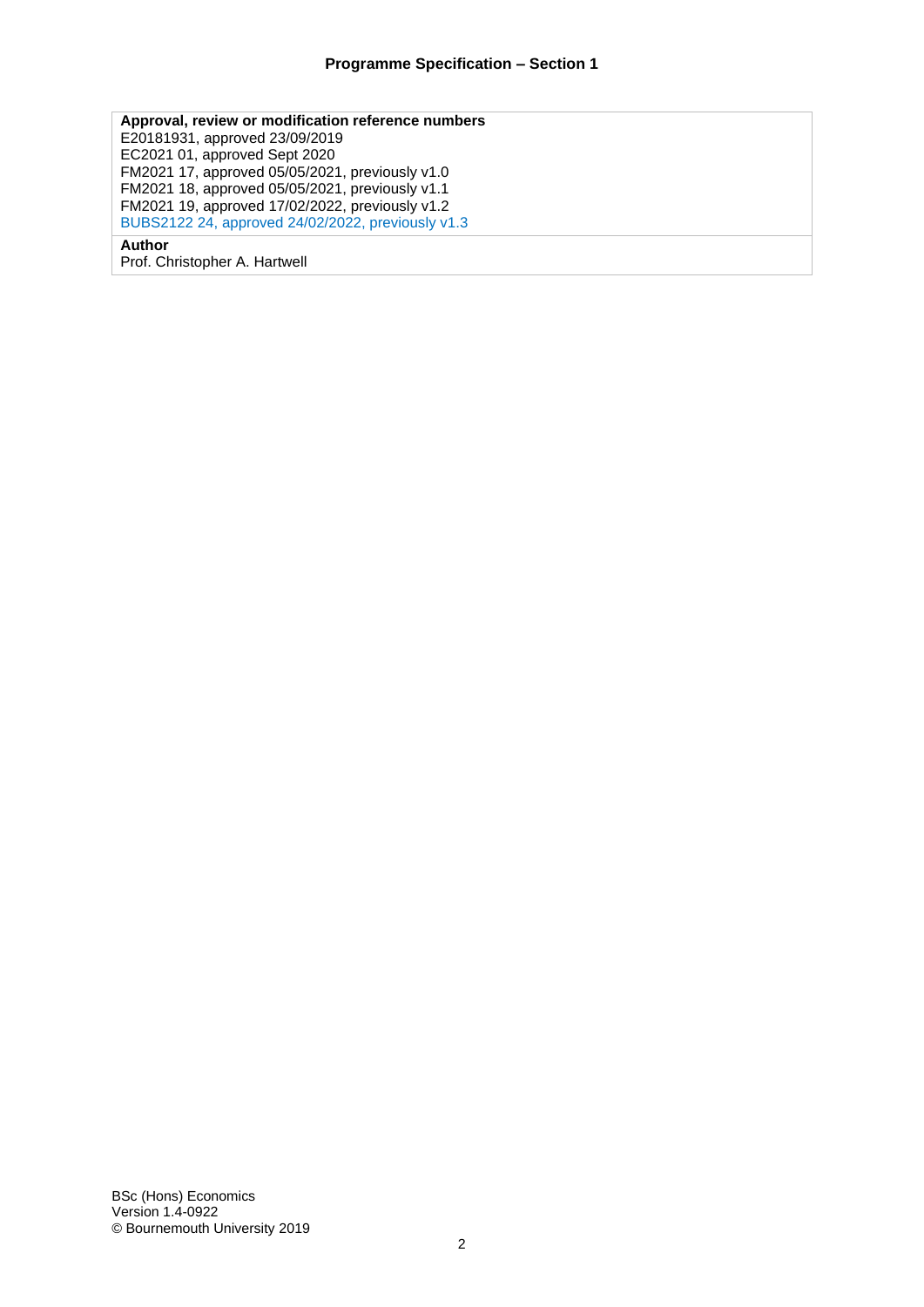**Approval, review or modification reference numbers** E20181931, approved 23/09/2019 EC2021 01, approved Sept 2020 FM2021 17, approved 05/05/2021, previously v1.0 FM2021 18, approved 05/05/2021, previously v1.1 FM2021 19, approved 17/02/2022, previously v1.2 BUBS2122 24, approved 24/02/2022, previously v1.3 **Author**

Prof. Christopher A. Hartwell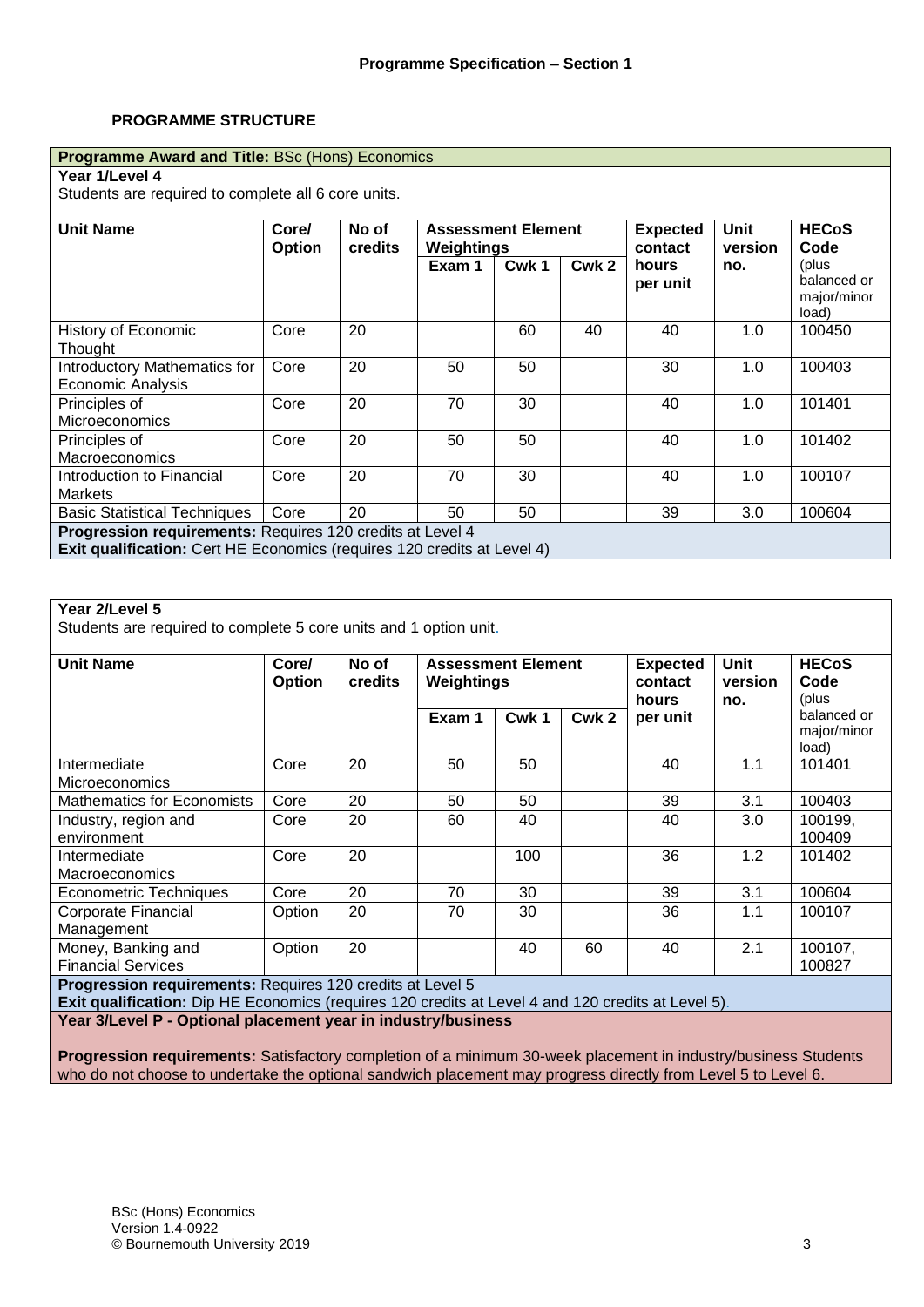#### **PROGRAMME STRUCTURE**

#### **Programme Award and Title:** BSc (Hons) Economics

**Year 1/Level 4**

Students are required to complete all 6 core units.

| <b>Unit Name</b>                                                                                                                            | Core/<br><b>Option</b> | No of<br>credits | <b>Assessment Element</b><br>Weightings |                  | <b>Expected</b><br>contact | Unit<br>version   | <b>HECoS</b><br>Code |                                              |
|---------------------------------------------------------------------------------------------------------------------------------------------|------------------------|------------------|-----------------------------------------|------------------|----------------------------|-------------------|----------------------|----------------------------------------------|
|                                                                                                                                             |                        |                  | Exam 1                                  | Cwk <sub>1</sub> | Cwk 2                      | hours<br>per unit | no.                  | (plus<br>balanced or<br>major/minor<br>load) |
| History of Economic<br>Thought                                                                                                              | Core                   | 20               |                                         | 60               | 40                         | 40                | 1.0                  | 100450                                       |
| Introductory Mathematics for<br><b>Economic Analysis</b>                                                                                    | Core                   | 20               | 50                                      | 50               |                            | 30                | 1.0                  | 100403                                       |
| Principles of<br><b>Microeconomics</b>                                                                                                      | Core                   | 20               | 70                                      | 30               |                            | 40                | 1.0                  | 101401                                       |
| Principles of<br><b>Macroeconomics</b>                                                                                                      | Core                   | 20               | 50                                      | 50               |                            | 40                | 1.0                  | 101402                                       |
| Introduction to Financial<br>Markets                                                                                                        | Core                   | 20               | 70                                      | 30               |                            | 40                | 1.0                  | 100107                                       |
| <b>Basic Statistical Techniques</b>                                                                                                         | Core                   | 20               | 50                                      | 50               |                            | 39                | 3.0                  | 100604                                       |
| Progression requirements: Requires 120 credits at Level 4<br><b>Exit qualification:</b> Cert HE Economics (requires 120 credits at Level 4) |                        |                  |                                         |                  |                            |                   |                      |                                              |

#### **Year 2/Level 5**

Students are required to complete 5 core units and 1 option unit.

| <b>Unit Name</b>                                          | Core/<br><b>Option</b> | No of<br>credits | <b>Assessment Element</b><br>Weightings<br>Exam 1 | Cwk1 | Cwk <sub>2</sub> | <b>Expected</b><br>contact<br>hours<br>per unit | <b>Unit</b><br>version<br>no. | <b>HECoS</b><br>Code<br>(plus<br>balanced or<br>major/minor<br>load) |
|-----------------------------------------------------------|------------------------|------------------|---------------------------------------------------|------|------------------|-------------------------------------------------|-------------------------------|----------------------------------------------------------------------|
| Intermediate<br><b>Microeconomics</b>                     | Core                   | 20               | 50                                                | 50   |                  | 40                                              | 1.1                           | 101401                                                               |
| <b>Mathematics for Economists</b>                         | Core                   | 20               | 50                                                | 50   |                  | 39                                              | 3.1                           | 100403                                                               |
| Industry, region and<br>environment                       | Core                   | 20               | 60                                                | 40   |                  | 40                                              | 3.0                           | 100199,<br>100409                                                    |
| Intermediate<br><b>Macroeconomics</b>                     | Core                   | 20               |                                                   | 100  |                  | 36                                              | 1.2                           | 101402                                                               |
| Econometric Techniques                                    | Core                   | 20               | 70                                                | 30   |                  | 39                                              | 3.1                           | 100604                                                               |
| Corporate Financial<br>Management                         | Option                 | 20               | 70                                                | 30   |                  | 36                                              | 1.1                           | 100107                                                               |
| Money, Banking and<br><b>Financial Services</b>           | Option                 | 20               |                                                   | 40   | 60               | 40                                              | 2.1                           | 100107,<br>100827                                                    |
| Progression requirements: Requires 120 credits at Level 5 |                        |                  |                                                   |      |                  |                                                 |                               |                                                                      |

**Exit qualification:** Dip HE Economics (requires 120 credits at Level 4 and 120 credits at Level 5).

**Year 3/Level P - Optional placement year in industry/business**

**Progression requirements:** Satisfactory completion of a minimum 30-week placement in industry/business Students who do not choose to undertake the optional sandwich placement may progress directly from Level 5 to Level 6.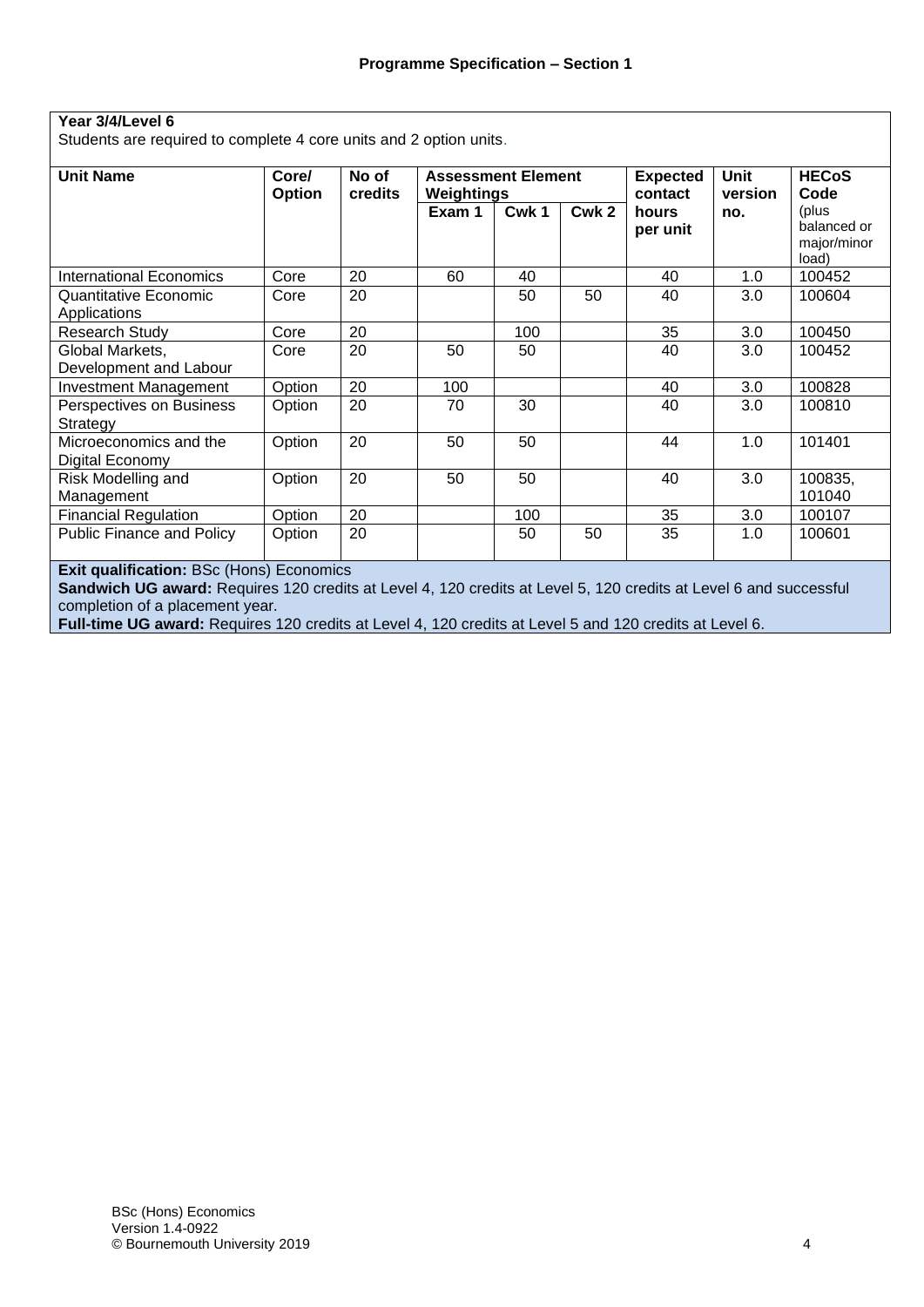#### **Year 3/4/Level 6** Students are required to complete 4 core units and 2 option units. **Unit Name Core/ Option No of credits Assessment Element Weightings Expected contact hours per unit Unit version no. HECoS Code** (plus balanced or major/minor  $\frac{load)}{100452}$ **Exam 1 Cwk 1 Cwk 2** International Economics | Core | 20 60 40 | 1.0 Quantitative Economic Applications Core 20 | 50 | 50 | 40 | 3.0 | 100604 Research Study | Core | 20 | 100 | 35 | 3.0 | 100450 Global Markets, Development and Labour Core 20 | 50 | 50 | 40 | 3.0 | 100452 Investment Management Option 20 100 40 3.0 100828 Perspectives on Business **Strategy** Option 20 | 70 | 30 | 40 | 3.0 | 100810 Microeconomics and the Digital Economy Option 20 | 50 | 50 | 44 | 1.0 | 101401 Risk Modelling and Management Option 20 | 50 | 50 | 40 | 3.0 | 100835, 101040 Financial Regulation Option 20 100 35 3.0 100107 Public Finance and Policy | Option | 20 | 1.0 | 50 | 50 | 35 | 1.0 | 100601

**Exit qualification: BSc (Hons) Economics** 

**Sandwich UG award:** Requires 120 credits at Level 4, 120 credits at Level 5, 120 credits at Level 6 and successful completion of a placement year*.*

**Full-time UG award:** Requires 120 credits at Level 4, 120 credits at Level 5 and 120 credits at Level 6*.*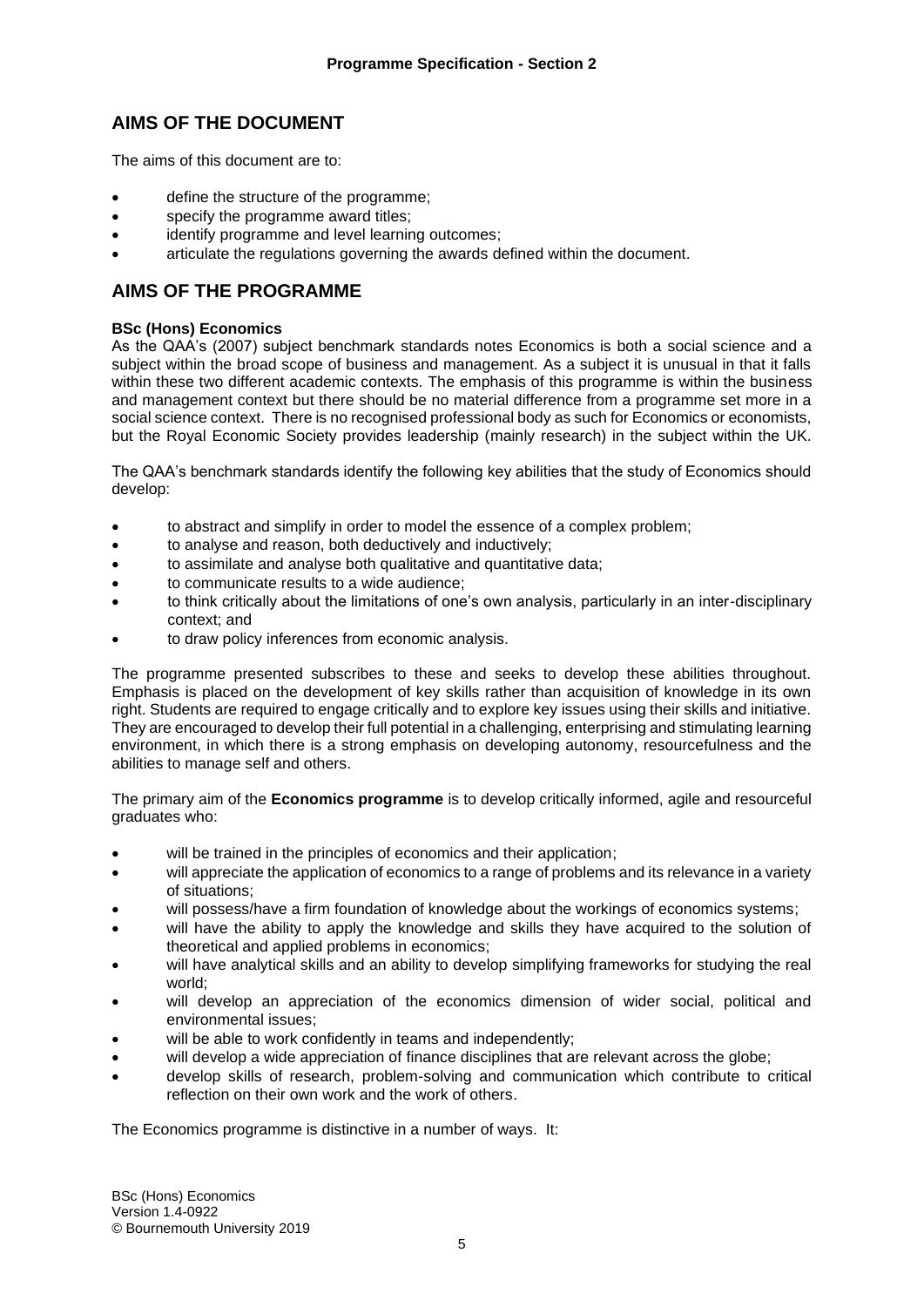#### **AIMS OF THE DOCUMENT**

The aims of this document are to:

- define the structure of the programme;
- specify the programme award titles;
- identify programme and level learning outcomes:
- articulate the regulations governing the awards defined within the document.

#### **AIMS OF THE PROGRAMME**

#### **BSc (Hons) Economics**

As the QAA's (2007) subject benchmark standards notes Economics is both a social science and a subject within the broad scope of business and management. As a subject it is unusual in that it falls within these two different academic contexts. The emphasis of this programme is within the business and management context but there should be no material difference from a programme set more in a social science context. There is no recognised professional body as such for Economics or economists, but the Royal Economic Society provides leadership (mainly research) in the subject within the UK.

The QAA's benchmark standards identify the following key abilities that the study of Economics should develop:

- to abstract and simplify in order to model the essence of a complex problem;
- to analyse and reason, both deductively and inductively;
- to assimilate and analyse both qualitative and quantitative data;
- to communicate results to a wide audience;
- to think critically about the limitations of one's own analysis, particularly in an inter-disciplinary context; and
- to draw policy inferences from economic analysis.

The programme presented subscribes to these and seeks to develop these abilities throughout. Emphasis is placed on the development of key skills rather than acquisition of knowledge in its own right. Students are required to engage critically and to explore key issues using their skills and initiative. They are encouraged to develop their full potential in a challenging, enterprising and stimulating learning environment, in which there is a strong emphasis on developing autonomy, resourcefulness and the abilities to manage self and others.

The primary aim of the **Economics programme** is to develop critically informed, agile and resourceful graduates who:

- will be trained in the principles of economics and their application;
- will appreciate the application of economics to a range of problems and its relevance in a variety of situations;
- will possess/have a firm foundation of knowledge about the workings of economics systems;
- will have the ability to apply the knowledge and skills they have acquired to the solution of theoretical and applied problems in economics;
- will have analytical skills and an ability to develop simplifying frameworks for studying the real world;
- will develop an appreciation of the economics dimension of wider social, political and environmental issues;
- will be able to work confidently in teams and independently;
- will develop a wide appreciation of finance disciplines that are relevant across the globe;
- develop skills of research, problem-solving and communication which contribute to critical reflection on their own work and the work of others.

The Economics programme is distinctive in a number of ways. It: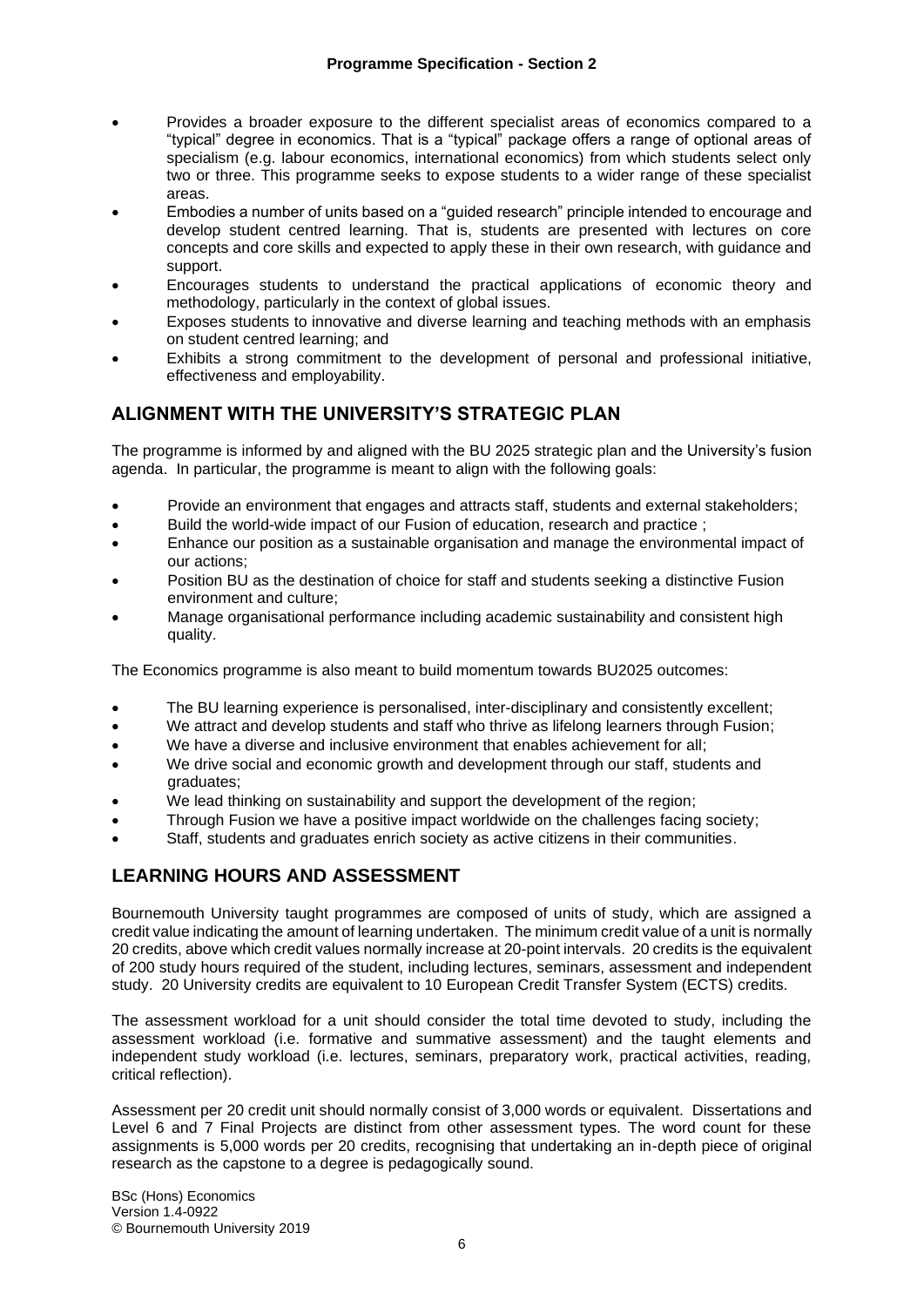- Provides a broader exposure to the different specialist areas of economics compared to a "typical" degree in economics. That is a "typical" package offers a range of optional areas of specialism (e.g. labour economics, international economics) from which students select only two or three. This programme seeks to expose students to a wider range of these specialist areas.
- Embodies a number of units based on a "guided research" principle intended to encourage and develop student centred learning. That is, students are presented with lectures on core concepts and core skills and expected to apply these in their own research, with guidance and support.
- Encourages students to understand the practical applications of economic theory and methodology, particularly in the context of global issues.
- Exposes students to innovative and diverse learning and teaching methods with an emphasis on student centred learning; and
- Exhibits a strong commitment to the development of personal and professional initiative, effectiveness and employability.

## **ALIGNMENT WITH THE UNIVERSITY'S STRATEGIC PLAN**

The programme is informed by and aligned with the BU 2025 strategic plan and the University's fusion agenda. In particular, the programme is meant to align with the following goals:

- Provide an environment that engages and attracts staff, students and external stakeholders;
- Build the world-wide impact of our Fusion of education, research and practice ;
- Enhance our position as a sustainable organisation and manage the environmental impact of our actions;
- Position BU as the destination of choice for staff and students seeking a distinctive Fusion environment and culture;
- Manage organisational performance including academic sustainability and consistent high quality.

The Economics programme is also meant to build momentum towards BU2025 outcomes:

- The BU learning experience is personalised, inter-disciplinary and consistently excellent;
- We attract and develop students and staff who thrive as lifelong learners through Fusion;
- We have a diverse and inclusive environment that enables achievement for all:
- We drive social and economic growth and development through our staff, students and graduates;
- We lead thinking on sustainability and support the development of the region;
- Through Fusion we have a positive impact worldwide on the challenges facing society;
- Staff, students and graduates enrich society as active citizens in their communities.

#### **LEARNING HOURS AND ASSESSMENT**

Bournemouth University taught programmes are composed of units of study, which are assigned a credit value indicating the amount of learning undertaken. The minimum credit value of a unit is normally 20 credits, above which credit values normally increase at 20-point intervals. 20 credits is the equivalent of 200 study hours required of the student, including lectures, seminars, assessment and independent study. 20 University credits are equivalent to 10 European Credit Transfer System (ECTS) credits.

The assessment workload for a unit should consider the total time devoted to study, including the assessment workload (i.e. formative and summative assessment) and the taught elements and independent study workload (i.e. lectures, seminars, preparatory work, practical activities, reading, critical reflection).

Assessment per 20 credit unit should normally consist of 3,000 words or equivalent. Dissertations and Level 6 and 7 Final Projects are distinct from other assessment types. The word count for these assignments is 5,000 words per 20 credits, recognising that undertaking an in-depth piece of original research as the capstone to a degree is pedagogically sound.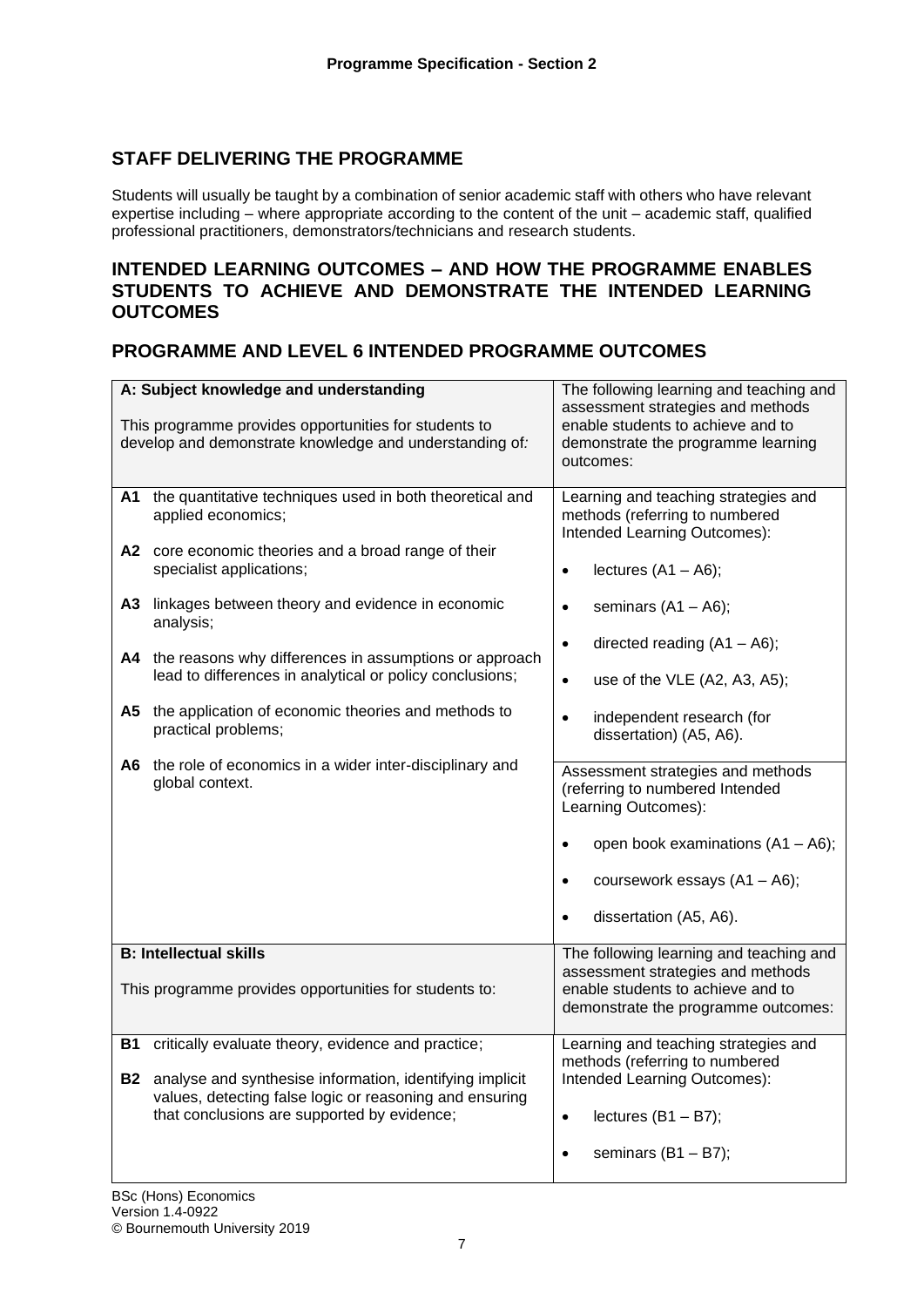## **STAFF DELIVERING THE PROGRAMME**

Students will usually be taught by a combination of senior academic staff with others who have relevant expertise including – where appropriate according to the content of the unit – academic staff, qualified professional practitioners, demonstrators/technicians and research students.

#### **INTENDED LEARNING OUTCOMES – AND HOW THE PROGRAMME ENABLES STUDENTS TO ACHIEVE AND DEMONSTRATE THE INTENDED LEARNING OUTCOMES**

## **PROGRAMME AND LEVEL 6 INTENDED PROGRAMME OUTCOMES**

|                        | A: Subject knowledge and understanding<br>This programme provides opportunities for students to<br>develop and demonstrate knowledge and understanding of:                                                                                                                                                                                                                                                                                                                                                                  | The following learning and teaching and<br>assessment strategies and methods<br>enable students to achieve and to<br>demonstrate the programme learning<br>outcomes:                                                                                                                                                                                                                                                                                                                                                                                                                       |
|------------------------|-----------------------------------------------------------------------------------------------------------------------------------------------------------------------------------------------------------------------------------------------------------------------------------------------------------------------------------------------------------------------------------------------------------------------------------------------------------------------------------------------------------------------------|--------------------------------------------------------------------------------------------------------------------------------------------------------------------------------------------------------------------------------------------------------------------------------------------------------------------------------------------------------------------------------------------------------------------------------------------------------------------------------------------------------------------------------------------------------------------------------------------|
| A1<br>A3 I<br>A5 I     | the quantitative techniques used in both theoretical and<br>applied economics;<br>A2 core economic theories and a broad range of their<br>specialist applications;<br>linkages between theory and evidence in economic<br>analysis;<br>A4 the reasons why differences in assumptions or approach<br>lead to differences in analytical or policy conclusions;<br>the application of economic theories and methods to<br>practical problems;<br>A6 the role of economics in a wider inter-disciplinary and<br>global context. | Learning and teaching strategies and<br>methods (referring to numbered<br>Intended Learning Outcomes):<br>lectures $(A1 - A6)$ ;<br>$\bullet$<br>seminars $(A1 - A6)$ ;<br>$\bullet$<br>directed reading $(A1 - A6)$ ;<br>$\bullet$<br>use of the VLE (A2, A3, A5);<br>$\bullet$<br>independent research (for<br>$\bullet$<br>dissertation) (A5, A6).<br>Assessment strategies and methods<br>(referring to numbered Intended<br>Learning Outcomes):<br>open book examinations (A1 - A6);<br>$\bullet$<br>coursework essays (A1 - A6);<br>$\bullet$<br>dissertation (A5, A6).<br>$\bullet$ |
|                        | <b>B: Intellectual skills</b>                                                                                                                                                                                                                                                                                                                                                                                                                                                                                               | The following learning and teaching and                                                                                                                                                                                                                                                                                                                                                                                                                                                                                                                                                    |
|                        | This programme provides opportunities for students to:                                                                                                                                                                                                                                                                                                                                                                                                                                                                      | assessment strategies and methods<br>enable students to achieve and to<br>demonstrate the programme outcomes:                                                                                                                                                                                                                                                                                                                                                                                                                                                                              |
| <b>B1</b><br><b>B2</b> | critically evaluate theory, evidence and practice;<br>analyse and synthesise information, identifying implicit<br>values, detecting false logic or reasoning and ensuring<br>that conclusions are supported by evidence;                                                                                                                                                                                                                                                                                                    | Learning and teaching strategies and<br>methods (referring to numbered<br>Intended Learning Outcomes):<br>lectures $(B1 - B7)$ ;<br>$\bullet$<br>seminars $(B1 - B7)$ ;<br>$\bullet$                                                                                                                                                                                                                                                                                                                                                                                                       |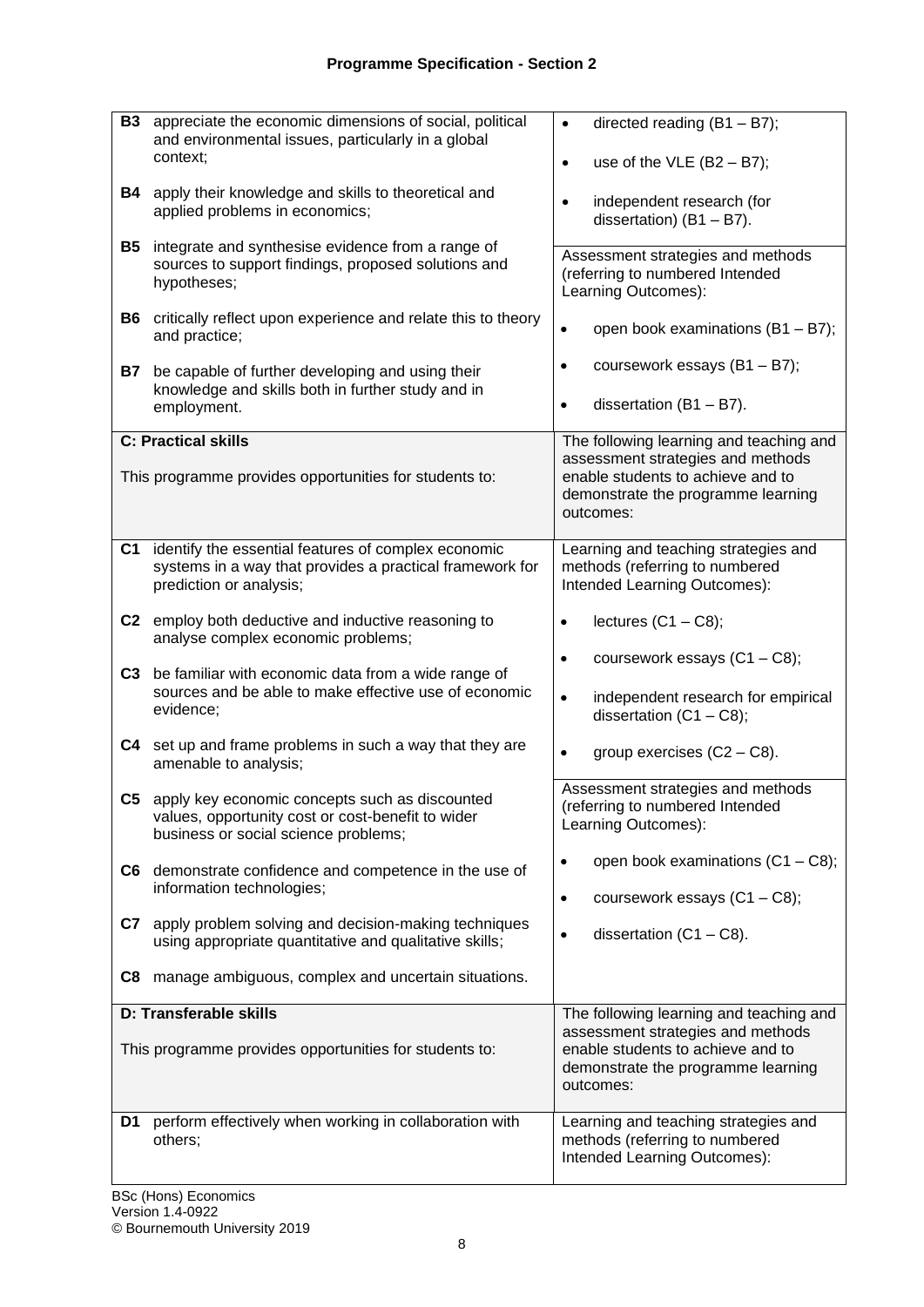| <b>B3</b><br>B4<br>B5 | appreciate the economic dimensions of social, political<br>and environmental issues, particularly in a global<br>context;<br>apply their knowledge and skills to theoretical and<br>applied problems in economics;<br>integrate and synthesise evidence from a range of<br>sources to support findings, proposed solutions and<br>hypotheses;<br><b>B6</b> critically reflect upon experience and relate this to theory<br>and practice; | directed reading $(B1 - B7)$ ;<br>$\bullet$<br>use of the VLE $(B2 - B7)$ ;<br>$\bullet$<br>independent research (for<br>$\bullet$<br>dissertation) $(B1 - B7)$ .<br>Assessment strategies and methods<br>(referring to numbered Intended<br>Learning Outcomes):<br>open book examinations (B1 - B7);<br>$\bullet$ |
|-----------------------|------------------------------------------------------------------------------------------------------------------------------------------------------------------------------------------------------------------------------------------------------------------------------------------------------------------------------------------------------------------------------------------------------------------------------------------|--------------------------------------------------------------------------------------------------------------------------------------------------------------------------------------------------------------------------------------------------------------------------------------------------------------------|
| B7                    | be capable of further developing and using their<br>knowledge and skills both in further study and in<br>employment.<br><b>C: Practical skills</b>                                                                                                                                                                                                                                                                                       | coursework essays (B1 - B7);<br>$\bullet$<br>dissertation $(B1 - B7)$ .<br>$\bullet$<br>The following learning and teaching and<br>assessment strategies and methods                                                                                                                                               |
|                       | This programme provides opportunities for students to:                                                                                                                                                                                                                                                                                                                                                                                   | enable students to achieve and to<br>demonstrate the programme learning<br>outcomes:                                                                                                                                                                                                                               |
| C1.                   | identify the essential features of complex economic<br>systems in a way that provides a practical framework for<br>prediction or analysis;                                                                                                                                                                                                                                                                                               | Learning and teaching strategies and<br>methods (referring to numbered<br>Intended Learning Outcomes):                                                                                                                                                                                                             |
| C <sub>3</sub>        | C2 employ both deductive and inductive reasoning to<br>analyse complex economic problems;<br>be familiar with economic data from a wide range of<br>sources and be able to make effective use of economic<br>evidence;                                                                                                                                                                                                                   | lectures $(C1 - C8)$ ;<br>$\bullet$<br>coursework essays $(C1 - C8)$ ;<br>$\bullet$<br>independent research for empirical<br>$\bullet$<br>dissertation $(C1 - C8)$ ;                                                                                                                                               |
|                       | C4 set up and frame problems in such a way that they are<br>amenable to analysis;<br>C5 apply key economic concepts such as discounted<br>values, opportunity cost or cost-benefit to wider<br>business or social science problems;                                                                                                                                                                                                      | group exercises $(C2 - C8)$ .<br>$\bullet$<br>Assessment strategies and methods<br>(referring to numbered Intended<br>Learning Outcomes):                                                                                                                                                                          |
|                       | C6 demonstrate confidence and competence in the use of<br>information technologies;<br>C7 apply problem solving and decision-making techniques<br>using appropriate quantitative and qualitative skills;<br>C8 manage ambiguous, complex and uncertain situations.                                                                                                                                                                       | open book examinations $(C1 - C8)$ ;<br>coursework essays (C1 - C8);<br>$\bullet$<br>dissertation $(C1 - C8)$ .                                                                                                                                                                                                    |
|                       | D: Transferable skills<br>This programme provides opportunities for students to:                                                                                                                                                                                                                                                                                                                                                         | The following learning and teaching and<br>assessment strategies and methods<br>enable students to achieve and to<br>demonstrate the programme learning<br>outcomes:                                                                                                                                               |
| D1                    | perform effectively when working in collaboration with<br>others;                                                                                                                                                                                                                                                                                                                                                                        | Learning and teaching strategies and<br>methods (referring to numbered<br>Intended Learning Outcomes):                                                                                                                                                                                                             |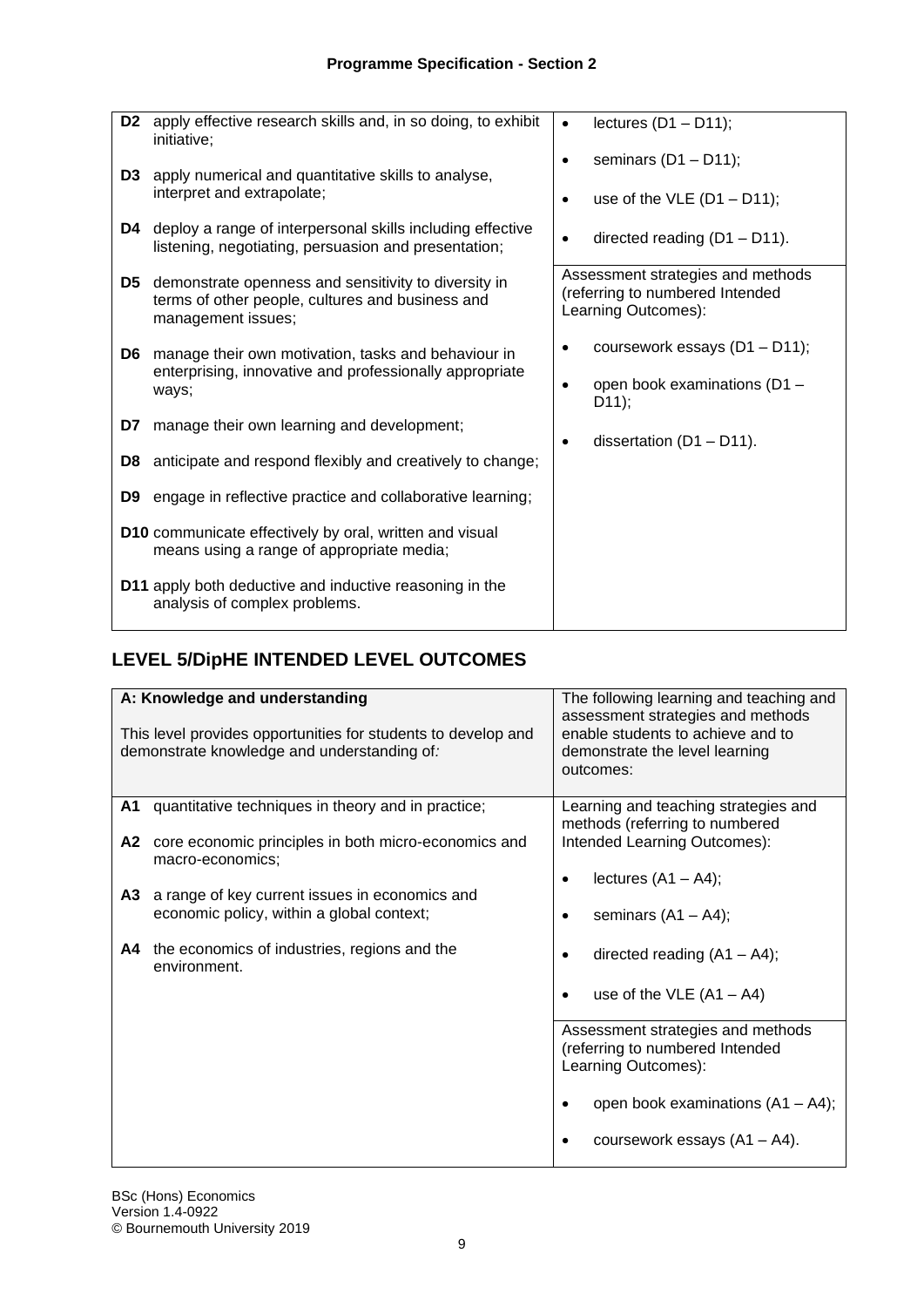| D <sub>2</sub> | apply effective research skills and, in so doing, to exhibit<br>initiative;                                                    | $\bullet$ | lectures $(D1 - D11)$ ;                                                                     |
|----------------|--------------------------------------------------------------------------------------------------------------------------------|-----------|---------------------------------------------------------------------------------------------|
| D3             | apply numerical and quantitative skills to analyse,                                                                            | $\bullet$ | seminars $(D1 - D11)$ ;                                                                     |
|                | interpret and extrapolate;                                                                                                     | $\bullet$ | use of the VLE $(D1 - D11)$ ;                                                               |
| D4             | deploy a range of interpersonal skills including effective<br>listening, negotiating, persuasion and presentation;             |           | directed reading $(D1 - D11)$ .                                                             |
| D5.            | demonstrate openness and sensitivity to diversity in<br>terms of other people, cultures and business and<br>management issues; |           | Assessment strategies and methods<br>(referring to numbered Intended<br>Learning Outcomes): |
| D6             | manage their own motivation, tasks and behaviour in                                                                            | $\bullet$ | coursework essays (D1 - D11);                                                               |
|                | enterprising, innovative and professionally appropriate<br>ways;                                                               | $\bullet$ | open book examinations (D1 -<br>D11);                                                       |
| D7             | manage their own learning and development;                                                                                     | $\bullet$ | dissertation $(D1 - D11)$ .                                                                 |
| D8             | anticipate and respond flexibly and creatively to change;                                                                      |           |                                                                                             |
| D9             | engage in reflective practice and collaborative learning;                                                                      |           |                                                                                             |
|                | D10 communicate effectively by oral, written and visual<br>means using a range of appropriate media;                           |           |                                                                                             |
|                | <b>D11</b> apply both deductive and inductive reasoning in the<br>analysis of complex problems.                                |           |                                                                                             |

# **LEVEL 5/DipHE INTENDED LEVEL OUTCOMES**

|    | A: Knowledge and understanding                                                                               | The following learning and teaching and<br>assessment strategies and methods                |
|----|--------------------------------------------------------------------------------------------------------------|---------------------------------------------------------------------------------------------|
|    | This level provides opportunities for students to develop and<br>demonstrate knowledge and understanding of: | enable students to achieve and to<br>demonstrate the level learning<br>outcomes:            |
| A1 | quantitative techniques in theory and in practice;                                                           | Learning and teaching strategies and<br>methods (referring to numbered                      |
| A2 | core economic principles in both micro-economics and<br>macro-economics;                                     | Intended Learning Outcomes):                                                                |
| A3 | a range of key current issues in economics and                                                               | lectures $(A1 - A4)$ ;                                                                      |
|    | economic policy, within a global context;                                                                    | seminars $(A1 - A4)$ ;                                                                      |
| A4 | the economics of industries, regions and the<br>environment.                                                 | directed reading $(A1 - A4)$ ;                                                              |
|    |                                                                                                              | use of the VLE $(A1 - A4)$                                                                  |
|    |                                                                                                              | Assessment strategies and methods<br>(referring to numbered Intended<br>Learning Outcomes): |
|    |                                                                                                              | open book examinations $(A1 - A4)$ ;                                                        |
|    |                                                                                                              | coursework essays $(A1 - A4)$ .                                                             |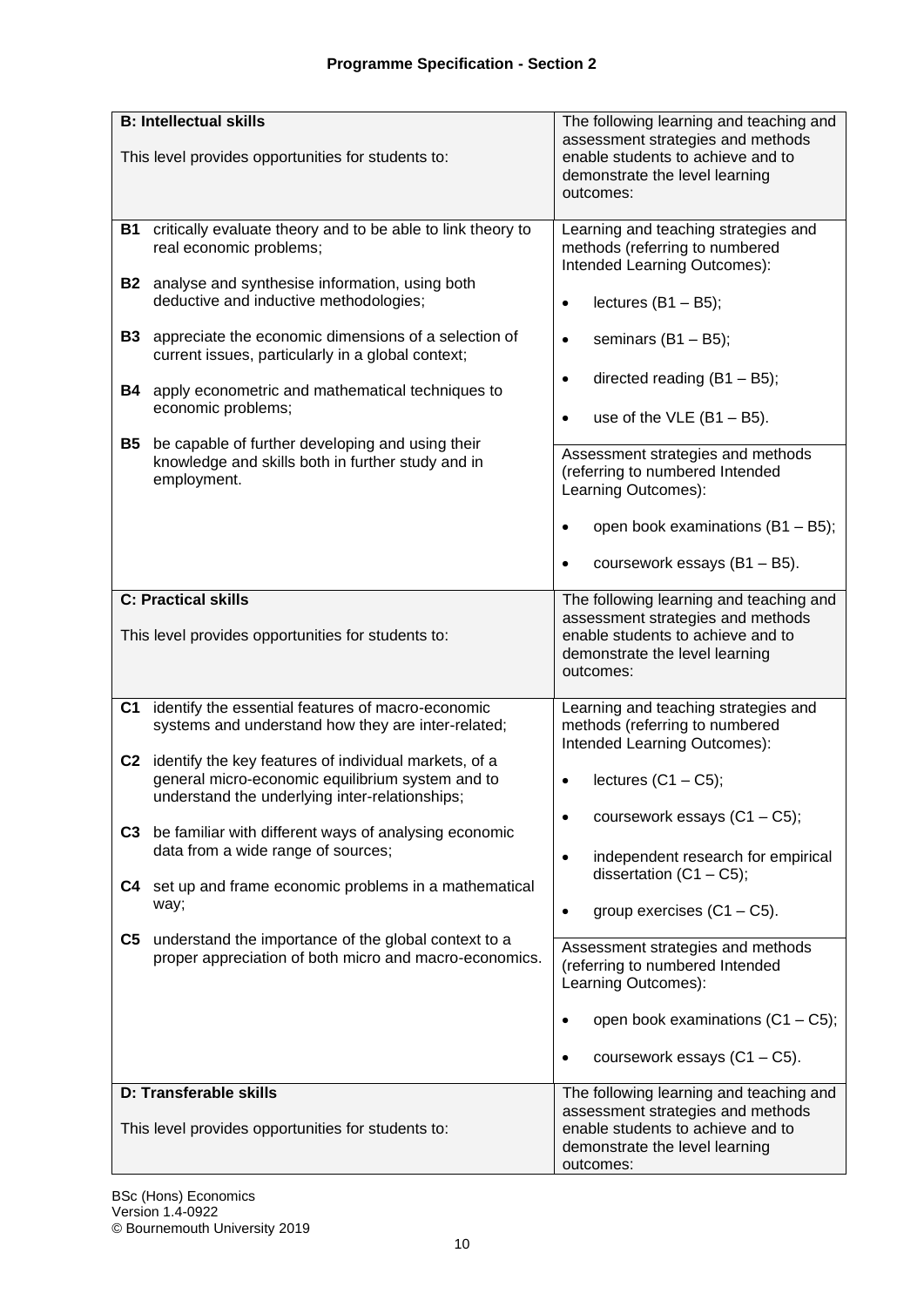|                | <b>B: Intellectual skills</b>                                                                                                                               | The following learning and teaching and                                                                               |
|----------------|-------------------------------------------------------------------------------------------------------------------------------------------------------------|-----------------------------------------------------------------------------------------------------------------------|
|                | This level provides opportunities for students to:                                                                                                          | assessment strategies and methods<br>enable students to achieve and to<br>demonstrate the level learning<br>outcomes: |
| <b>B1</b>      | critically evaluate theory and to be able to link theory to<br>real economic problems;                                                                      | Learning and teaching strategies and<br>methods (referring to numbered<br>Intended Learning Outcomes):                |
|                | <b>B2</b> analyse and synthesise information, using both<br>deductive and inductive methodologies;                                                          | lectures $(B1 - B5)$ ;<br>$\bullet$                                                                                   |
| <b>B3</b>      | appreciate the economic dimensions of a selection of<br>current issues, particularly in a global context;                                                   | seminars $(B1 - B5)$ ;<br>$\bullet$                                                                                   |
| <b>B4</b>      | apply econometric and mathematical techniques to<br>economic problems;                                                                                      | directed reading $(B1 - B5)$ ;<br>$\bullet$<br>use of the $VLE$ (B1 - B5).<br>$\bullet$                               |
| <b>B5</b>      |                                                                                                                                                             |                                                                                                                       |
|                | be capable of further developing and using their<br>knowledge and skills both in further study and in<br>employment.                                        | Assessment strategies and methods<br>(referring to numbered Intended<br>Learning Outcomes):                           |
|                |                                                                                                                                                             | open book examinations (B1 - B5);<br>$\bullet$                                                                        |
|                |                                                                                                                                                             | coursework essays (B1 - B5).<br>$\bullet$                                                                             |
|                | <b>C: Practical skills</b>                                                                                                                                  | The following learning and teaching and                                                                               |
|                | This level provides opportunities for students to:                                                                                                          | assessment strategies and methods<br>enable students to achieve and to<br>demonstrate the level learning<br>outcomes: |
| C <sub>1</sub> | identify the essential features of macro-economic<br>systems and understand how they are inter-related;                                                     | Learning and teaching strategies and<br>methods (referring to numbered<br>Intended Learning Outcomes):                |
| C <sub>2</sub> | identify the key features of individual markets, of a<br>general micro-economic equilibrium system and to<br>understand the underlying inter-relationships; | lectures $(C1 - C5)$ ;<br>$\bullet$                                                                                   |
|                | C3 be familiar with different ways of analysing economic<br>data from a wide range of sources;                                                              | coursework essays $(C1 - C5)$ ;<br>$\bullet$                                                                          |
| C4             | set up and frame economic problems in a mathematical                                                                                                        | independent research for empirical<br>$\bullet$<br>dissertation $(C1 - C5)$ ;                                         |
|                | way;                                                                                                                                                        | group exercises $(C1 - C5)$ .<br>$\bullet$                                                                            |
| C5             | understand the importance of the global context to a<br>proper appreciation of both micro and macro-economics.                                              | Assessment strategies and methods<br>(referring to numbered Intended<br>Learning Outcomes):                           |
|                |                                                                                                                                                             | open book examinations $(C1 - C5)$ ;<br>$\bullet$                                                                     |
|                |                                                                                                                                                             | coursework essays $(C1 - C5)$ .<br>$\bullet$                                                                          |
|                | D: Transferable skills                                                                                                                                      | The following learning and teaching and                                                                               |
|                | This level provides opportunities for students to:                                                                                                          | assessment strategies and methods<br>enable students to achieve and to<br>demonstrate the level learning<br>outcomes: |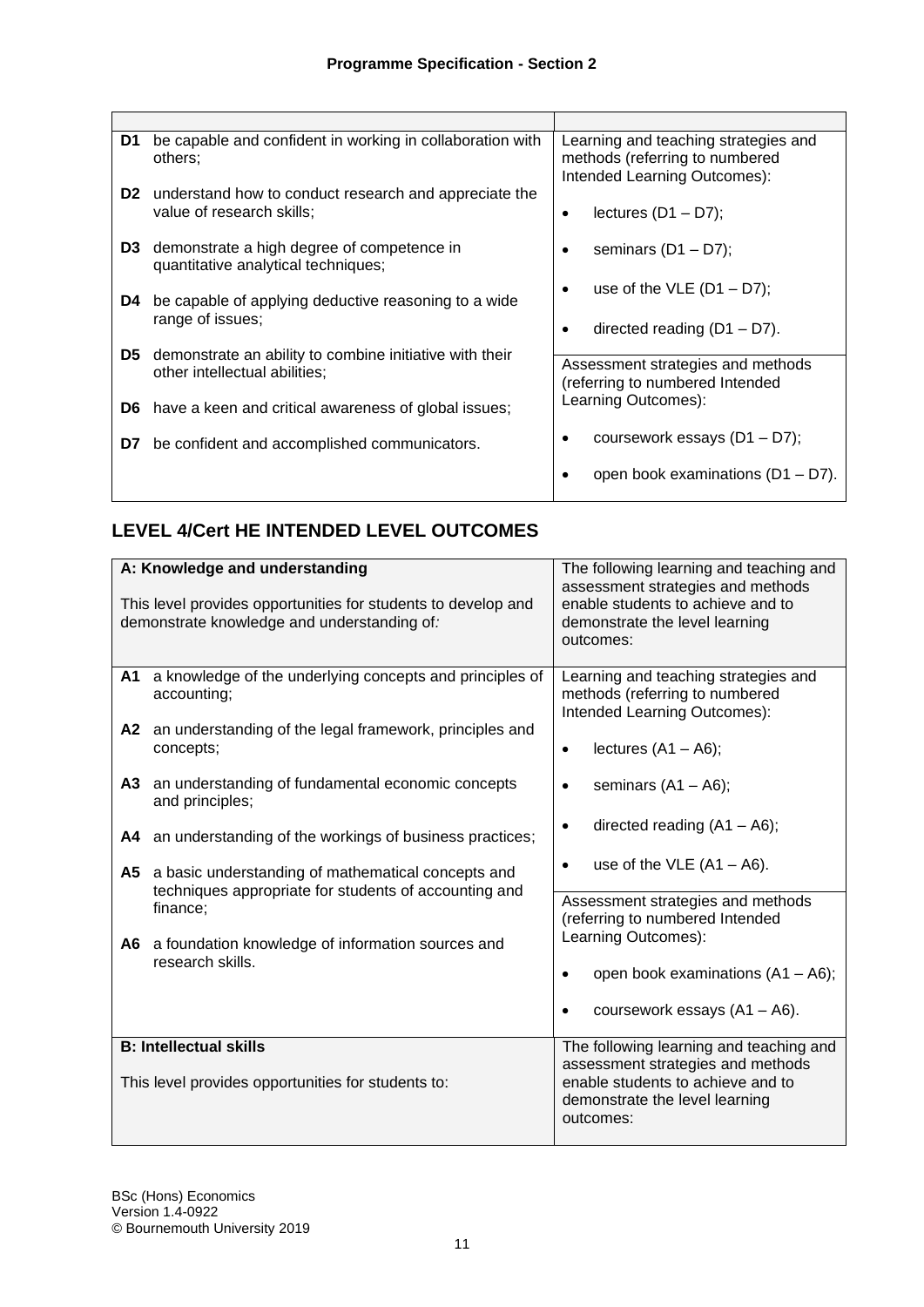| D1             | be capable and confident in working in collaboration with<br>others:                     | Learning and teaching strategies and<br>methods (referring to numbered |
|----------------|------------------------------------------------------------------------------------------|------------------------------------------------------------------------|
| D <sub>2</sub> | understand how to conduct research and appreciate the<br>value of research skills;       | Intended Learning Outcomes):<br>lectures $(D1 - D7)$ ;<br>٠            |
| D <sub>3</sub> | demonstrate a high degree of competence in<br>quantitative analytical techniques;        | seminars $(D1 - D7)$ ;                                                 |
| D4             | be capable of applying deductive reasoning to a wide<br>range of issues;                 | use of the VLE $(D1 - D7)$ ;                                           |
|                |                                                                                          | directed reading $(D1 - D7)$ .                                         |
| D5.            | demonstrate an ability to combine initiative with their<br>other intellectual abilities; | Assessment strategies and methods<br>(referring to numbered Intended   |
| D6.            | have a keen and critical awareness of global issues;                                     | Learning Outcomes):                                                    |
| D7             | be confident and accomplished communicators.                                             | coursework essays $(D1 - D7)$ ;                                        |
|                |                                                                                          | open book examinations $(D1 - D7)$ .                                   |

## **LEVEL 4/Cert HE INTENDED LEVEL OUTCOMES**

|     | A: Knowledge and understanding<br>This level provides opportunities for students to develop and                | The following learning and teaching and<br>assessment strategies and methods<br>enable students to achieve and to |
|-----|----------------------------------------------------------------------------------------------------------------|-------------------------------------------------------------------------------------------------------------------|
|     | demonstrate knowledge and understanding of:                                                                    | demonstrate the level learning<br>outcomes:                                                                       |
| A1  | a knowledge of the underlying concepts and principles of<br>accounting;                                        | Learning and teaching strategies and<br>methods (referring to numbered<br>Intended Learning Outcomes):            |
| A2  | an understanding of the legal framework, principles and<br>concepts;                                           | lectures $(A1 - A6)$ ;<br>$\bullet$                                                                               |
| A3  | an understanding of fundamental economic concepts<br>and principles;                                           | seminars $(A1 - A6)$ ;<br>٠                                                                                       |
| A4  | an understanding of the workings of business practices;                                                        | directed reading $(A1 - A6)$ ;                                                                                    |
|     | A5 a basic understanding of mathematical concepts and<br>techniques appropriate for students of accounting and | use of the VLE $(A1 - A6)$ .                                                                                      |
|     | finance;                                                                                                       | Assessment strategies and methods<br>(referring to numbered Intended                                              |
| A6. | a foundation knowledge of information sources and<br>research skills.                                          | Learning Outcomes):                                                                                               |
|     |                                                                                                                | open book examinations $(A1 - A6)$ ;                                                                              |
|     |                                                                                                                | coursework essays $(A1 - A6)$ .                                                                                   |
|     | <b>B: Intellectual skills</b>                                                                                  | The following learning and teaching and<br>assessment strategies and methods                                      |
|     | This level provides opportunities for students to:                                                             | enable students to achieve and to<br>demonstrate the level learning<br>outcomes:                                  |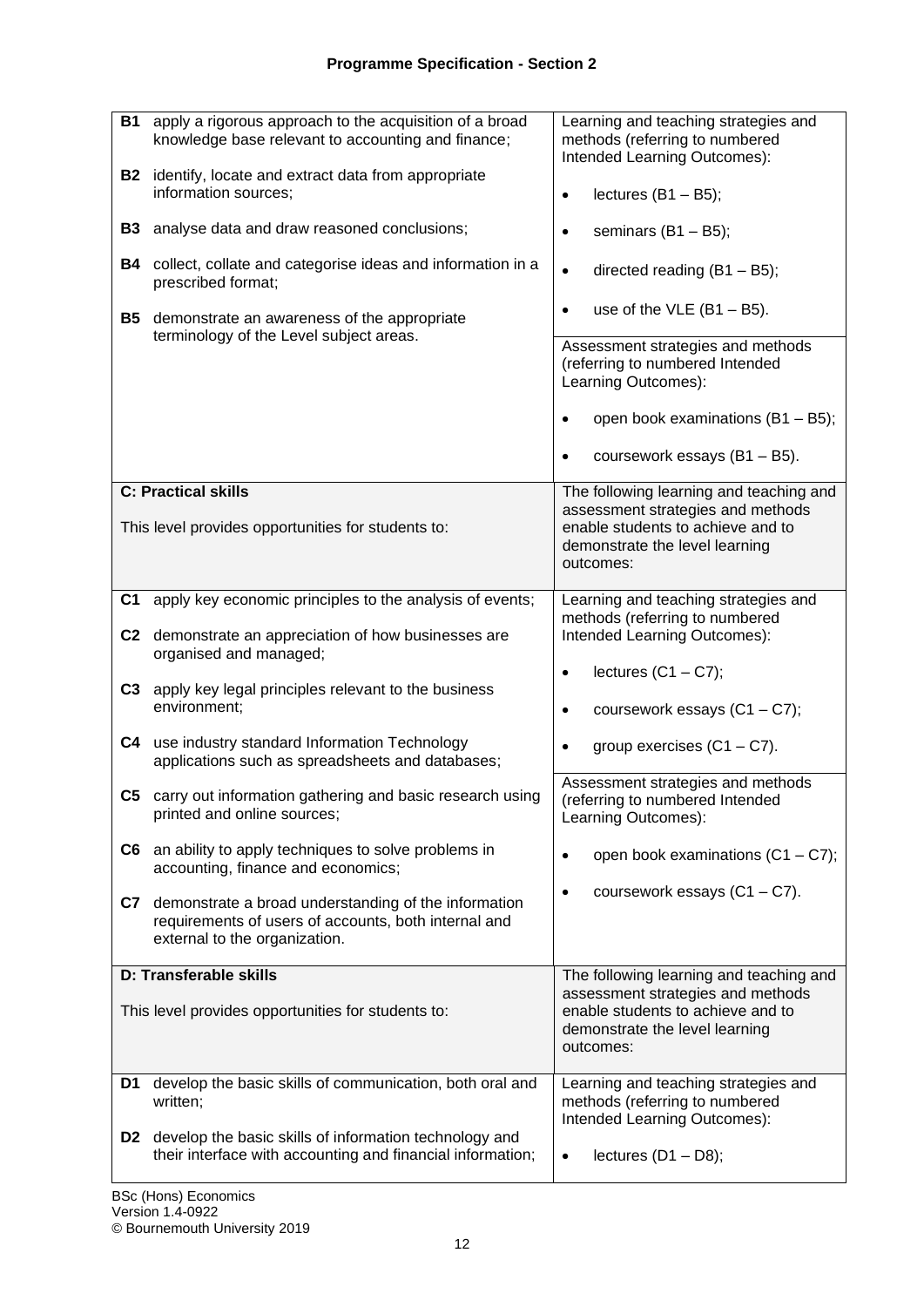| <b>B1</b><br><b>B2</b><br><b>B3</b><br>B4<br><b>B5</b> | apply a rigorous approach to the acquisition of a broad<br>knowledge base relevant to accounting and finance;<br>identify, locate and extract data from appropriate<br>information sources;<br>analyse data and draw reasoned conclusions;<br>collect, collate and categorise ideas and information in a<br>prescribed format;<br>demonstrate an awareness of the appropriate<br>terminology of the Level subject areas. | Learning and teaching strategies and<br>methods (referring to numbered<br>Intended Learning Outcomes):<br>lectures $(B1 - B5)$ ;<br>$\bullet$<br>seminars $(B1 - B5)$ ;<br>$\bullet$<br>directed reading $(B1 - B5)$ ;<br>$\bullet$<br>use of the $VLE$ (B1 - B5).<br>$\bullet$<br>Assessment strategies and methods<br>(referring to numbered Intended<br>Learning Outcomes): |
|--------------------------------------------------------|--------------------------------------------------------------------------------------------------------------------------------------------------------------------------------------------------------------------------------------------------------------------------------------------------------------------------------------------------------------------------------------------------------------------------|--------------------------------------------------------------------------------------------------------------------------------------------------------------------------------------------------------------------------------------------------------------------------------------------------------------------------------------------------------------------------------|
|                                                        |                                                                                                                                                                                                                                                                                                                                                                                                                          | open book examinations (B1 - B5);<br>$\bullet$<br>coursework essays (B1 - B5).<br>$\bullet$                                                                                                                                                                                                                                                                                    |
|                                                        | <b>C: Practical skills</b>                                                                                                                                                                                                                                                                                                                                                                                               | The following learning and teaching and                                                                                                                                                                                                                                                                                                                                        |
|                                                        | This level provides opportunities for students to:                                                                                                                                                                                                                                                                                                                                                                       | assessment strategies and methods<br>enable students to achieve and to<br>demonstrate the level learning<br>outcomes:                                                                                                                                                                                                                                                          |
| C <sub>1</sub>                                         | apply key economic principles to the analysis of events;                                                                                                                                                                                                                                                                                                                                                                 | Learning and teaching strategies and                                                                                                                                                                                                                                                                                                                                           |
|                                                        | C2 demonstrate an appreciation of how businesses are<br>organised and managed;                                                                                                                                                                                                                                                                                                                                           | methods (referring to numbered<br>Intended Learning Outcomes):                                                                                                                                                                                                                                                                                                                 |
| C3                                                     | apply key legal principles relevant to the business<br>environment;                                                                                                                                                                                                                                                                                                                                                      | lectures $(C1 - C7)$ ;<br>$\bullet$<br>coursework essays $(C1 - C7)$ ;<br>$\bullet$                                                                                                                                                                                                                                                                                            |
|                                                        | C4 use industry standard Information Technology<br>applications such as spreadsheets and databases;                                                                                                                                                                                                                                                                                                                      | group exercises $(C1 - C7)$ .<br>$\bullet$                                                                                                                                                                                                                                                                                                                                     |
| C5                                                     | carry out information gathering and basic research using<br>printed and online sources;                                                                                                                                                                                                                                                                                                                                  | Assessment strategies and methods<br>(referring to numbered Intended<br>Learning Outcomes):                                                                                                                                                                                                                                                                                    |
|                                                        | C6 an ability to apply techniques to solve problems in<br>accounting, finance and economics;                                                                                                                                                                                                                                                                                                                             | open book examinations $(C1 - C7)$ ;<br>$\bullet$                                                                                                                                                                                                                                                                                                                              |
| C7                                                     | demonstrate a broad understanding of the information<br>requirements of users of accounts, both internal and<br>external to the organization.                                                                                                                                                                                                                                                                            | coursework essays $(C1 - C7)$ .<br>$\bullet$                                                                                                                                                                                                                                                                                                                                   |
|                                                        | D: Transferable skills                                                                                                                                                                                                                                                                                                                                                                                                   | The following learning and teaching and                                                                                                                                                                                                                                                                                                                                        |
|                                                        | This level provides opportunities for students to:                                                                                                                                                                                                                                                                                                                                                                       | assessment strategies and methods<br>enable students to achieve and to<br>demonstrate the level learning<br>outcomes:                                                                                                                                                                                                                                                          |
| D1                                                     | develop the basic skills of communication, both oral and<br>written;                                                                                                                                                                                                                                                                                                                                                     | Learning and teaching strategies and<br>methods (referring to numbered                                                                                                                                                                                                                                                                                                         |
| D2                                                     | develop the basic skills of information technology and<br>their interface with accounting and financial information;                                                                                                                                                                                                                                                                                                     | Intended Learning Outcomes):<br>lectures $(D1 - D8)$ ;<br>$\bullet$                                                                                                                                                                                                                                                                                                            |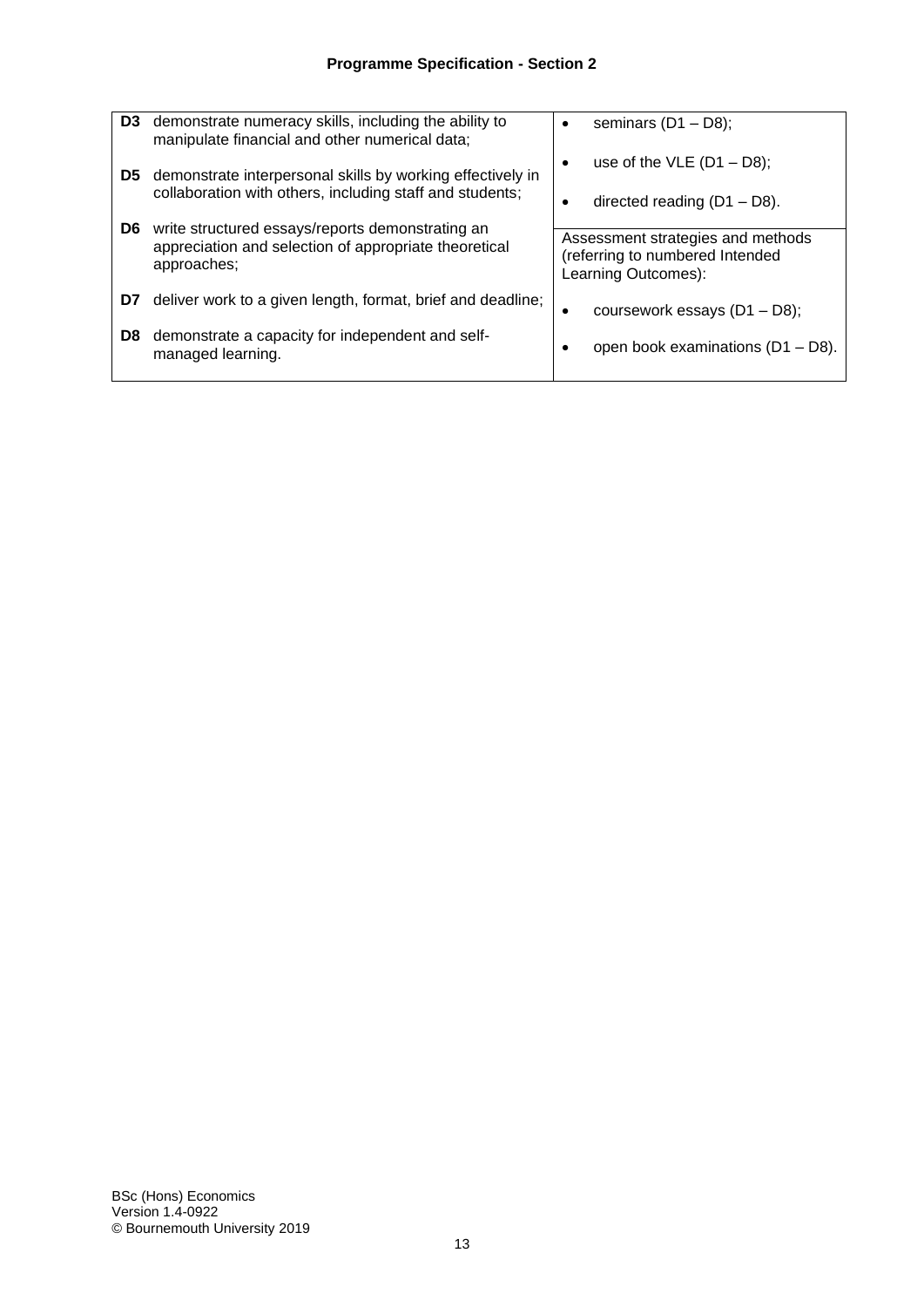| D <sub>3</sub> | demonstrate numeracy skills, including the ability to<br>manipulate financial and other numerical data;                | seminars $(D1 - D8)$ ;                                                                      |
|----------------|------------------------------------------------------------------------------------------------------------------------|---------------------------------------------------------------------------------------------|
| D5             | demonstrate interpersonal skills by working effectively in<br>collaboration with others, including staff and students; | use of the VLE $(D1 - D8)$ ;<br>$\bullet$                                                   |
| D6             | write structured essays/reports demonstrating an                                                                       | directed reading $(D1 - D8)$ .                                                              |
|                | appreciation and selection of appropriate theoretical<br>approaches;                                                   | Assessment strategies and methods<br>(referring to numbered Intended<br>Learning Outcomes): |
| D7             | deliver work to a given length, format, brief and deadline;                                                            | coursework essays $(D1 - D8)$ ;<br>٠                                                        |
| D8             | demonstrate a capacity for independent and self-<br>managed learning.                                                  | open book examinations (D1 - D8).<br>$\bullet$                                              |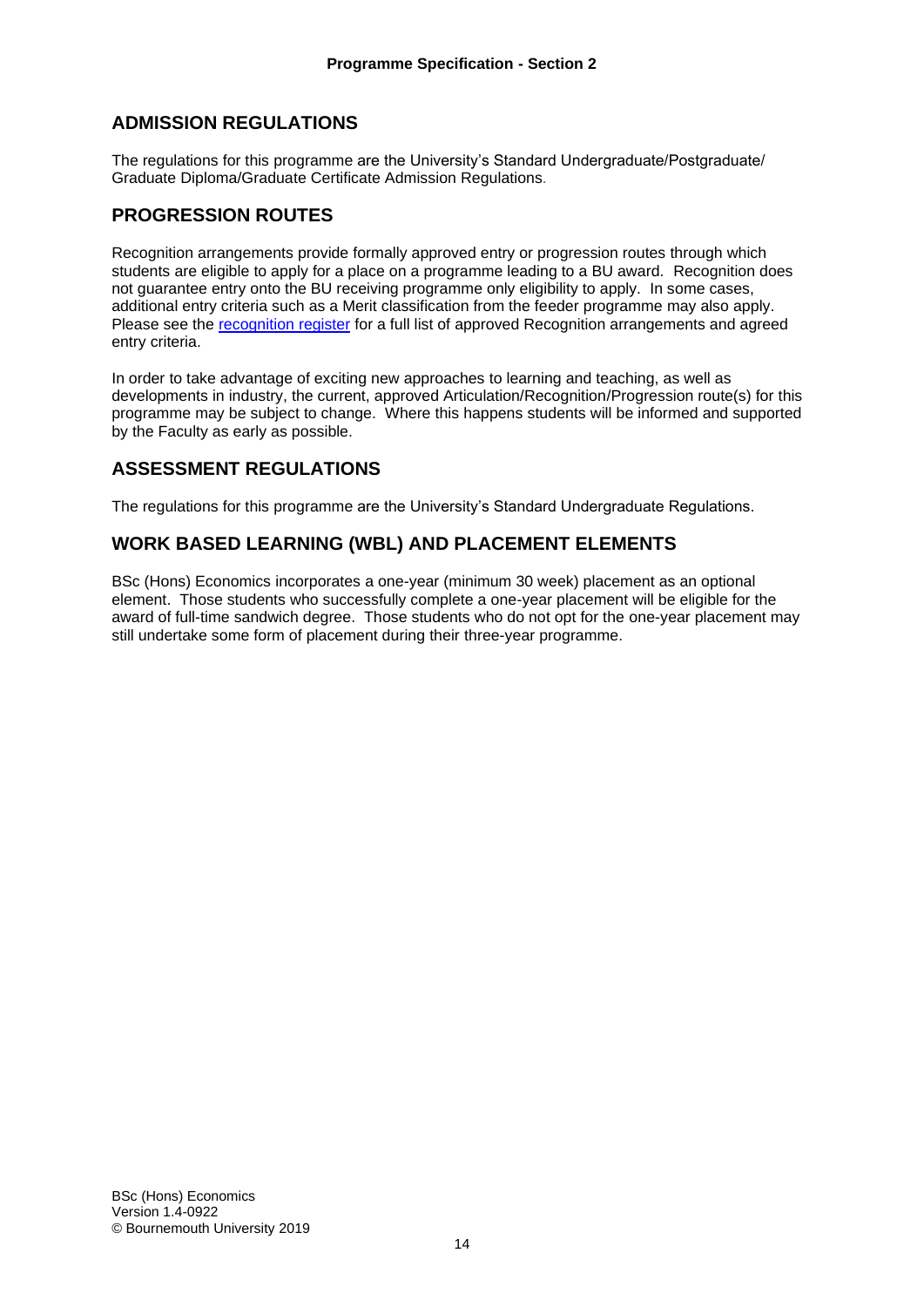#### **ADMISSION REGULATIONS**

The regulations for this programme are the University's Standard Undergraduate/Postgraduate/ Graduate Diploma/Graduate Certificate Admission Regulations*.*

#### **PROGRESSION ROUTES**

Recognition arrangements provide formally approved entry or progression routes through which students are eligible to apply for a place on a programme leading to a BU award. Recognition does not guarantee entry onto the BU receiving programme only eligibility to apply. In some cases, additional entry criteria such as a Merit classification from the feeder programme may also apply. Please see the [recognition register](https://docs.bournemouth.ac.uk/sites/as/academicquality/partners/_layouts/15/WopiFrame2.aspx?sourcedoc=/sites/as/academicquality/partners/Partner%20Register/Partner%20Register.xlsx&action=default#Recognition%20Register) for a full list of approved Recognition arrangements and agreed entry criteria.

In order to take advantage of exciting new approaches to learning and teaching, as well as developments in industry, the current, approved Articulation/Recognition/Progression route(s) for this programme may be subject to change. Where this happens students will be informed and supported by the Faculty as early as possible.

#### **ASSESSMENT REGULATIONS**

The regulations for this programme are the University's Standard Undergraduate Regulations.

## **WORK BASED LEARNING (WBL) AND PLACEMENT ELEMENTS**

BSc (Hons) Economics incorporates a one-year (minimum 30 week) placement as an optional element. Those students who successfully complete a one-year placement will be eligible for the award of full-time sandwich degree. Those students who do not opt for the one-year placement may still undertake some form of placement during their three-year programme.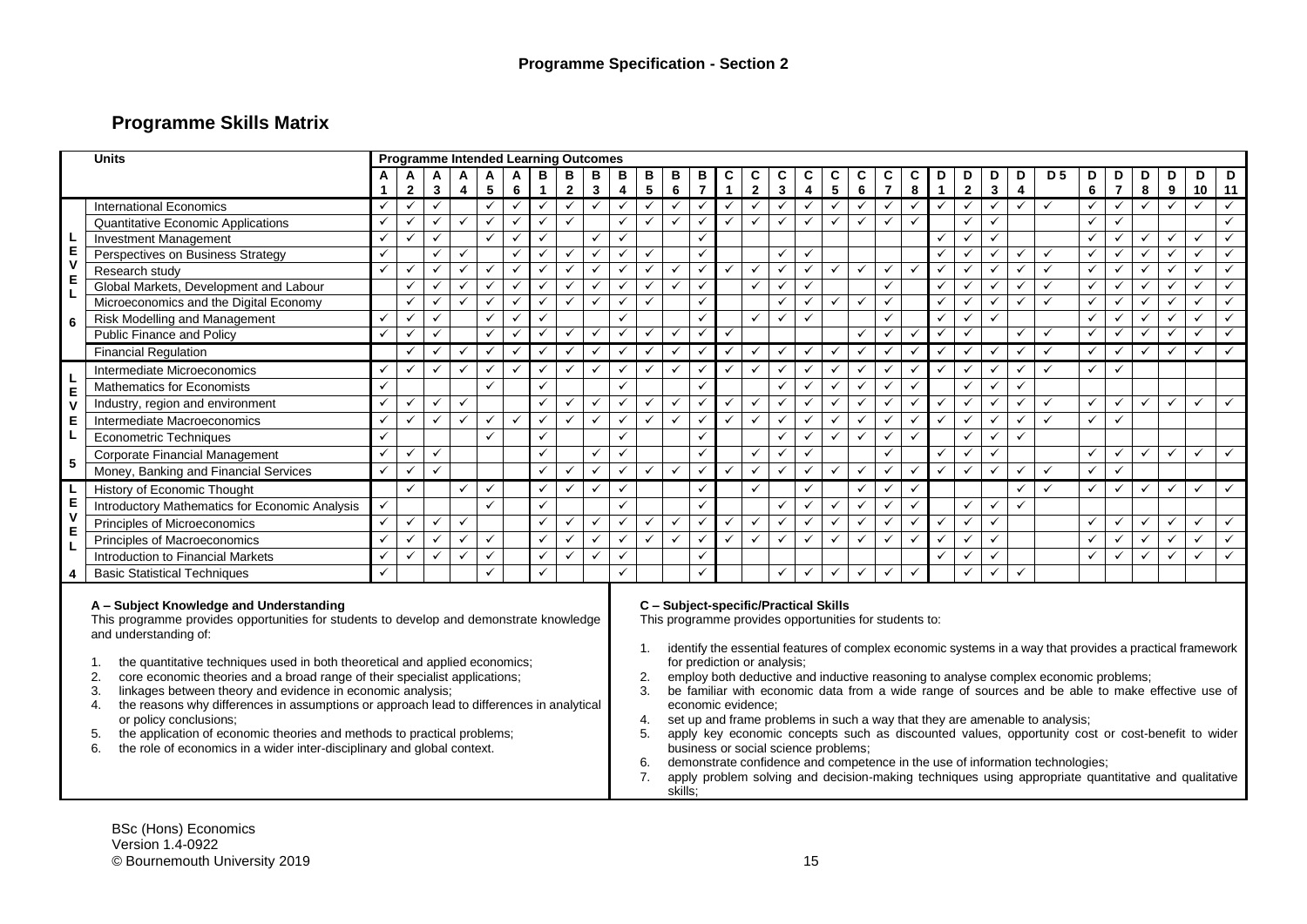## **Programme Skills Matrix**

|                         | <b>Units</b>                                                                                                                                                                                                                                                                                                                                                                                                                                                                                                                                                                                                                                                                                     |                   | <b>Programme Intended Learning Outcomes</b> |              |                     |              |              |                   |                   |                                                                                                                                                                                                                                                                                                                                                                                                                                                                                                                                                                                                                                                                                                                                                                                                                                                                                                                          |                              |              |              |                     |                   |                   |               |                              |               |              |               |              |                   |              |                   |                              |                |              |                     |              |                         |              |         |
|-------------------------|--------------------------------------------------------------------------------------------------------------------------------------------------------------------------------------------------------------------------------------------------------------------------------------------------------------------------------------------------------------------------------------------------------------------------------------------------------------------------------------------------------------------------------------------------------------------------------------------------------------------------------------------------------------------------------------------------|-------------------|---------------------------------------------|--------------|---------------------|--------------|--------------|-------------------|-------------------|--------------------------------------------------------------------------------------------------------------------------------------------------------------------------------------------------------------------------------------------------------------------------------------------------------------------------------------------------------------------------------------------------------------------------------------------------------------------------------------------------------------------------------------------------------------------------------------------------------------------------------------------------------------------------------------------------------------------------------------------------------------------------------------------------------------------------------------------------------------------------------------------------------------------------|------------------------------|--------------|--------------|---------------------|-------------------|-------------------|---------------|------------------------------|---------------|--------------|---------------|--------------|-------------------|--------------|-------------------|------------------------------|----------------|--------------|---------------------|--------------|-------------------------|--------------|---------|
|                         |                                                                                                                                                                                                                                                                                                                                                                                                                                                                                                                                                                                                                                                                                                  | A<br>$\mathbf{1}$ | A<br>$\mathbf{2}$                           | A<br>3       | A<br>$\overline{4}$ | Α<br>5       | A<br>6       | В<br>$\mathbf{1}$ | В<br>$\mathbf{2}$ | В<br>3                                                                                                                                                                                                                                                                                                                                                                                                                                                                                                                                                                                                                                                                                                                                                                                                                                                                                                                   | В<br>$\overline{\mathbf{4}}$ | $rac{B}{5}$  | $rac{B}{6}$  | В<br>$\overline{7}$ | C<br>$\mathbf{1}$ | C<br>$\mathbf{2}$ | $\frac{C}{3}$ | C<br>$\overline{\mathbf{4}}$ | $\frac{C}{5}$ | С<br>6       | $\frac{c}{7}$ | C<br>$\bf 8$ | D<br>$\mathbf{1}$ | D<br>2       | D<br>$\mathbf{3}$ | D<br>$\overline{\mathbf{4}}$ | D <sub>5</sub> | D<br>6       | D<br>$\overline{7}$ | D<br>8       | D<br>$\overline{9}$     | D<br>10      | D<br>11 |
|                         | <b>International Economics</b>                                                                                                                                                                                                                                                                                                                                                                                                                                                                                                                                                                                                                                                                   | $\checkmark$      | ✓                                           | $\checkmark$ |                     | $\checkmark$ | ✓            | $\checkmark$      | $\checkmark$      | ✓                                                                                                                                                                                                                                                                                                                                                                                                                                                                                                                                                                                                                                                                                                                                                                                                                                                                                                                        | $\checkmark$                 | $\checkmark$ |              | ✓                   | $\checkmark$      |                   | ✓             | ✓                            | $\checkmark$  | ✓            |               | $\checkmark$ | $\checkmark$      | ✓            | $\checkmark$      | $\checkmark$                 | ✓              | $\checkmark$ | ✓                   | $\checkmark$ | $\checkmark$            | $\checkmark$ |         |
|                         | Quantitative Economic Applications                                                                                                                                                                                                                                                                                                                                                                                                                                                                                                                                                                                                                                                               | $\checkmark$      | ✓                                           | ✓            | $\checkmark$        | $\checkmark$ | ✓            | $\checkmark$      | $\checkmark$      |                                                                                                                                                                                                                                                                                                                                                                                                                                                                                                                                                                                                                                                                                                                                                                                                                                                                                                                          | ✓                            | $\checkmark$ |              | ✓                   |                   | $\checkmark$      | ✓             | ✓                            | $\checkmark$  | $\checkmark$ |               |              |                   |              | $\checkmark$      |                              |                | $\checkmark$ | $\checkmark$        |              |                         |              |         |
| L                       | <b>Investment Management</b>                                                                                                                                                                                                                                                                                                                                                                                                                                                                                                                                                                                                                                                                     | $\checkmark$      | $\checkmark$                                | $\checkmark$ |                     | $\checkmark$ | $\checkmark$ | $\checkmark$      |                   | ✓                                                                                                                                                                                                                                                                                                                                                                                                                                                                                                                                                                                                                                                                                                                                                                                                                                                                                                                        | ✓                            |              |              | $\checkmark$        |                   |                   |               |                              |               |              |               |              | $\checkmark$      | ✓            | $\checkmark$      |                              |                | $\checkmark$ | $\checkmark$        | ✓            | $\checkmark$            | ✓            | ✓       |
| E                       | Perspectives on Business Strategy                                                                                                                                                                                                                                                                                                                                                                                                                                                                                                                                                                                                                                                                | $\checkmark$      |                                             | ✓            | $\checkmark$        |              | ✓            | $\checkmark$      | $\checkmark$      | ✓                                                                                                                                                                                                                                                                                                                                                                                                                                                                                                                                                                                                                                                                                                                                                                                                                                                                                                                        | ✓                            | $\checkmark$ |              | $\checkmark$        |                   |                   | ✓             | ✓                            |               |              |               |              | $\checkmark$      | ✓            | $\checkmark$      | $\checkmark$                 | $\checkmark$   | ✓            | $\checkmark$        | ✓            | $\checkmark$            | $\checkmark$ |         |
| $\mathsf{v}$            | Research study                                                                                                                                                                                                                                                                                                                                                                                                                                                                                                                                                                                                                                                                                   | $\checkmark$      | $\checkmark$                                | ✓            | ✓                   | $\checkmark$ | ✓            | $\checkmark$      | $\checkmark$      |                                                                                                                                                                                                                                                                                                                                                                                                                                                                                                                                                                                                                                                                                                                                                                                                                                                                                                                          | ✓                            | ✓            | $\checkmark$ | $\checkmark$        | ✓                 | $\checkmark$      | ✓             | ✓                            | ✓             | ✓            | ✓             | $\checkmark$ | $\checkmark$      |              | $\checkmark$      | ✓                            | $\checkmark$   | ✓            | ✓                   | ✓            | ✓                       | $\checkmark$ |         |
| E<br>L                  | Global Markets, Development and Labour                                                                                                                                                                                                                                                                                                                                                                                                                                                                                                                                                                                                                                                           |                   | $\checkmark$                                | ✓            | $\checkmark$        | $\checkmark$ | $\checkmark$ | $\checkmark$      | ✓                 | ✓                                                                                                                                                                                                                                                                                                                                                                                                                                                                                                                                                                                                                                                                                                                                                                                                                                                                                                                        | ✓                            | $\checkmark$ | $\checkmark$ | $\checkmark$        |                   | $\checkmark$      | ✓             | ✓                            |               |              | ✓             |              | $\checkmark$      |              | $\checkmark$      | $\checkmark$                 | $\checkmark$   | $\checkmark$ | $\checkmark$        | ✓            | $\checkmark$            | $\checkmark$ |         |
|                         | Microeconomics and the Digital Economy                                                                                                                                                                                                                                                                                                                                                                                                                                                                                                                                                                                                                                                           |                   | ✓                                           | $\checkmark$ | $\checkmark$        | $\checkmark$ | ✓            | $\checkmark$      | $\checkmark$      | ✓                                                                                                                                                                                                                                                                                                                                                                                                                                                                                                                                                                                                                                                                                                                                                                                                                                                                                                                        | $\checkmark$                 | $\checkmark$ |              | $\checkmark$        |                   |                   | $\checkmark$  | $\checkmark$                 | $\checkmark$  | ✓            | ✓             |              | $\checkmark$      | ✓            | $\checkmark$      | $\checkmark$                 | $\checkmark$   | $\checkmark$ |                     | $\checkmark$ | ✓                       | $\checkmark$ |         |
| 6                       | Risk Modelling and Management                                                                                                                                                                                                                                                                                                                                                                                                                                                                                                                                                                                                                                                                    | $\checkmark$      | ✓                                           | ✓            |                     | $\checkmark$ | ✓            | $\checkmark$      |                   |                                                                                                                                                                                                                                                                                                                                                                                                                                                                                                                                                                                                                                                                                                                                                                                                                                                                                                                          | ✓                            |              |              | ✓                   |                   | $\checkmark$      | ✓             | $\checkmark$                 |               |              | ✓             |              | $\checkmark$      | ✓            | $\checkmark$      |                              |                | $\checkmark$ | ✓                   | ✓            | ✓                       | $\checkmark$ |         |
|                         | <b>Public Finance and Policy</b>                                                                                                                                                                                                                                                                                                                                                                                                                                                                                                                                                                                                                                                                 | $\checkmark$      | $\checkmark$                                | ✓            |                     | $\checkmark$ | $\checkmark$ | $\checkmark$      | $\checkmark$      | $\checkmark$                                                                                                                                                                                                                                                                                                                                                                                                                                                                                                                                                                                                                                                                                                                                                                                                                                                                                                             | $\checkmark$                 | $\checkmark$ | ✓            | $\checkmark$        | $\checkmark$      |                   |               |                              |               | $\checkmark$ | ✓             | $\checkmark$ | $\checkmark$      | $\checkmark$ |                   | ✓                            | $\checkmark$   | $\checkmark$ | ✓                   | ✓            | $\checkmark$            | $\checkmark$ | ✓       |
|                         | <b>Financial Regulation</b>                                                                                                                                                                                                                                                                                                                                                                                                                                                                                                                                                                                                                                                                      |                   | $\checkmark$                                | ✓            | $\checkmark$        | $\checkmark$ | $\checkmark$ | $\checkmark$      | $\checkmark$      | $\checkmark$                                                                                                                                                                                                                                                                                                                                                                                                                                                                                                                                                                                                                                                                                                                                                                                                                                                                                                             | $\checkmark$                 | $\checkmark$ | $\checkmark$ | $\checkmark$        | $\checkmark$      | $\checkmark$      | ✓             | ✓                            | $\checkmark$  | $\checkmark$ | ✓             | $\checkmark$ | $\checkmark$      | ✓            | $\checkmark$      | $\checkmark$                 | $\checkmark$   | $\checkmark$ | $\checkmark$        | ✓            | $\overline{\checkmark}$ | $\checkmark$ | ✓       |
|                         | Intermediate Microeconomics                                                                                                                                                                                                                                                                                                                                                                                                                                                                                                                                                                                                                                                                      | $\checkmark$      | $\checkmark$                                | $\checkmark$ | $\checkmark$        | $\checkmark$ | $\checkmark$ | $\checkmark$      | $\checkmark$      | ✓                                                                                                                                                                                                                                                                                                                                                                                                                                                                                                                                                                                                                                                                                                                                                                                                                                                                                                                        | ✓                            | $\checkmark$ | $\checkmark$ | $\checkmark$        | $\checkmark$      | $\checkmark$      | ✓             | ✓                            | $\checkmark$  | $\checkmark$ | ✓             | $\checkmark$ | $\checkmark$      | ✓            | $\checkmark$      | $\checkmark$                 | $\checkmark$   | $\checkmark$ | $\checkmark$        |              |                         |              |         |
| L                       | Mathematics for Economists                                                                                                                                                                                                                                                                                                                                                                                                                                                                                                                                                                                                                                                                       | ✓                 |                                             |              |                     | $\checkmark$ |              | $\checkmark$      |                   |                                                                                                                                                                                                                                                                                                                                                                                                                                                                                                                                                                                                                                                                                                                                                                                                                                                                                                                          | $\checkmark$                 |              |              | ✓                   |                   |                   | ✓             |                              | $\checkmark$  | $\checkmark$ | ✓             | $\checkmark$ |                   | ✓            | $\checkmark$      | $\checkmark$                 |                |              |                     |              |                         |              |         |
| $\frac{E}{V}$           | Industry, region and environment                                                                                                                                                                                                                                                                                                                                                                                                                                                                                                                                                                                                                                                                 | $\checkmark$      | ✓                                           | ✓            | $\checkmark$        |              |              | $\checkmark$      | $\checkmark$      | ✓                                                                                                                                                                                                                                                                                                                                                                                                                                                                                                                                                                                                                                                                                                                                                                                                                                                                                                                        | $\checkmark$                 | $\checkmark$ | $\checkmark$ | ✓                   | ✓                 | $\checkmark$      | ✓             | ✓                            | $\checkmark$  | ✓            | ✓             | $\checkmark$ | $\checkmark$      | ✓            | $\checkmark$      | ✓                            | $\cdot$        | ✓            | $\checkmark$        | ✓            | ✓                       | $\checkmark$ |         |
| E                       | Intermediate Macroeconomics                                                                                                                                                                                                                                                                                                                                                                                                                                                                                                                                                                                                                                                                      | $\checkmark$      | ✓                                           | ✓            | $\checkmark$        | $\checkmark$ | $\checkmark$ | $\checkmark$      | $\checkmark$      | ✓                                                                                                                                                                                                                                                                                                                                                                                                                                                                                                                                                                                                                                                                                                                                                                                                                                                                                                                        | $\checkmark$                 | $\checkmark$ | $\checkmark$ | ✓                   | $\checkmark$      | $\checkmark$      | ✓             | ✓                            | $\checkmark$  | $\checkmark$ | ✓             | $\checkmark$ | $\checkmark$      | ✓            | $\checkmark$      | $\checkmark$                 | $\cdot$        | $\checkmark$ | $\checkmark$        |              |                         |              |         |
| L                       | <b>Econometric Techniques</b>                                                                                                                                                                                                                                                                                                                                                                                                                                                                                                                                                                                                                                                                    | ✓                 |                                             |              |                     | $\checkmark$ |              | $\checkmark$      |                   |                                                                                                                                                                                                                                                                                                                                                                                                                                                                                                                                                                                                                                                                                                                                                                                                                                                                                                                          | ✓                            |              |              | ✓                   |                   |                   | ✓             | ✓                            | $\checkmark$  | $\checkmark$ | ✓             | $\checkmark$ |                   | ✓            | ✓                 | $\checkmark$                 |                |              |                     |              |                         |              |         |
|                         | Corporate Financial Management                                                                                                                                                                                                                                                                                                                                                                                                                                                                                                                                                                                                                                                                   | $\checkmark$      | $\checkmark$                                | ✓            |                     |              |              | $\checkmark$      |                   | ✓                                                                                                                                                                                                                                                                                                                                                                                                                                                                                                                                                                                                                                                                                                                                                                                                                                                                                                                        | ✓                            |              |              | $\checkmark$        |                   | $\checkmark$      | ✓             | ✓                            |               |              | ✓             |              | $\checkmark$      | ✓            | $\checkmark$      |                              |                | $\checkmark$ | ✓                   | ✓            | $\checkmark$            | $\checkmark$ | ✓       |
| 5                       | Money, Banking and Financial Services                                                                                                                                                                                                                                                                                                                                                                                                                                                                                                                                                                                                                                                            | $\checkmark$      | $\checkmark$                                | ✓            |                     |              |              | $\checkmark$      | $\checkmark$      | ✓                                                                                                                                                                                                                                                                                                                                                                                                                                                                                                                                                                                                                                                                                                                                                                                                                                                                                                                        | ✓                            | $\checkmark$ | ✓            | ✓                   | ✓                 | $\checkmark$      | ✓             | ✓                            | $\checkmark$  | $\checkmark$ | ✓             | $\checkmark$ | $\checkmark$      | ✓            | $\checkmark$      | ✓                            | $\checkmark$   | $\checkmark$ | ✓                   |              |                         |              |         |
|                         | History of Economic Thought                                                                                                                                                                                                                                                                                                                                                                                                                                                                                                                                                                                                                                                                      |                   | $\checkmark$                                |              | $\checkmark$        | $\checkmark$ |              | $\checkmark$      | ✓                 | ✓                                                                                                                                                                                                                                                                                                                                                                                                                                                                                                                                                                                                                                                                                                                                                                                                                                                                                                                        | ✓                            |              |              | $\checkmark$        |                   | $\checkmark$      |               | ✓                            |               | $\checkmark$ | ✓             | $\checkmark$ |                   |              |                   | $\checkmark$                 | $\checkmark$   | $\checkmark$ | $\checkmark$        | ✓            | $\checkmark$            | $\checkmark$ |         |
| L<br>E<br>V             | Introductory Mathematics for Economic Analysis                                                                                                                                                                                                                                                                                                                                                                                                                                                                                                                                                                                                                                                   | $\checkmark$      |                                             |              |                     | $\checkmark$ |              | $\checkmark$      |                   |                                                                                                                                                                                                                                                                                                                                                                                                                                                                                                                                                                                                                                                                                                                                                                                                                                                                                                                          | ✓                            |              |              | ✓                   |                   |                   | ✓             | ✓                            | $\checkmark$  | ✓            | ✓             | $\checkmark$ |                   | ✓            | $\checkmark$      | $\checkmark$                 |                |              |                     |              |                         |              |         |
|                         | Principles of Microeconomics                                                                                                                                                                                                                                                                                                                                                                                                                                                                                                                                                                                                                                                                     | $\checkmark$      | ✓                                           | ✓            | ✓                   |              |              | $\checkmark$      | $\checkmark$      |                                                                                                                                                                                                                                                                                                                                                                                                                                                                                                                                                                                                                                                                                                                                                                                                                                                                                                                          | $\checkmark$                 | ✓            | ✓            | $\checkmark$        | ✓                 | $\checkmark$      | ✓             | ✓                            | $\checkmark$  | ✓            |               | $\checkmark$ | $\checkmark$      | ✓            | $\checkmark$      |                              |                | ✓            | ✓                   | ✓            | ✓                       | ✓            |         |
| E<br>L                  | Principles of Macroeconomics                                                                                                                                                                                                                                                                                                                                                                                                                                                                                                                                                                                                                                                                     | $\checkmark$      | ✓                                           | ✓            | $\checkmark$        | $\checkmark$ |              | ✓                 | $\checkmark$      | ✓                                                                                                                                                                                                                                                                                                                                                                                                                                                                                                                                                                                                                                                                                                                                                                                                                                                                                                                        | $\checkmark$                 | $\checkmark$ | $\checkmark$ | $\checkmark$        | $\checkmark$      | $\checkmark$      | ✓             | ✓                            | $\checkmark$  | $\checkmark$ |               | $\checkmark$ | ✓                 | ✓            | $\checkmark$      |                              |                | $\checkmark$ | $\checkmark$        | ✓            | $\checkmark$            | $\checkmark$ |         |
|                         | Introduction to Financial Markets                                                                                                                                                                                                                                                                                                                                                                                                                                                                                                                                                                                                                                                                | $\checkmark$      | $\checkmark$                                |              | $\checkmark$        | $\checkmark$ |              | $\checkmark$      | ✓                 |                                                                                                                                                                                                                                                                                                                                                                                                                                                                                                                                                                                                                                                                                                                                                                                                                                                                                                                          | ✓                            |              |              | $\checkmark$        |                   |                   |               |                              |               |              |               |              | ✓                 |              | $\checkmark$      |                              |                | $\checkmark$ | ✓                   |              | ✓                       | ✓            |         |
| $\overline{\mathbf{4}}$ | <b>Basic Statistical Techniques</b>                                                                                                                                                                                                                                                                                                                                                                                                                                                                                                                                                                                                                                                              | ✓                 |                                             |              |                     | $\checkmark$ |              | $\checkmark$      |                   |                                                                                                                                                                                                                                                                                                                                                                                                                                                                                                                                                                                                                                                                                                                                                                                                                                                                                                                          | ✓                            |              |              | ✓                   |                   |                   | ✓             | $\checkmark$                 | ✓             | ✓            |               | ✓            |                   | ✓            | $\checkmark$      | $\checkmark$                 |                |              |                     |              |                         |              |         |
|                         | A - Subject Knowledge and Understanding<br>This programme provides opportunities for students to develop and demonstrate knowledge<br>and understanding of:<br>the quantitative techniques used in both theoretical and applied economics;<br>core economic theories and a broad range of their specialist applications;<br>2.<br>linkages between theory and evidence in economic analysis;<br>3.<br>the reasons why differences in assumptions or approach lead to differences in analytical<br>4.<br>or policy conclusions:<br>the application of economic theories and methods to practical problems;<br>5.<br>6.<br>the role of economics in a wider inter-disciplinary and global context. |                   |                                             |              |                     |              |              |                   |                   | C - Subject-specific/Practical Skills<br>This programme provides opportunities for students to:<br>identify the essential features of complex economic systems in a way that provides a practical framework<br>1.<br>for prediction or analysis;<br>2.<br>employ both deductive and inductive reasoning to analyse complex economic problems;<br>be familiar with economic data from a wide range of sources and be able to make effective use of<br>3.<br>economic evidence:<br>set up and frame problems in such a way that they are amenable to analysis;<br>4.<br>apply key economic concepts such as discounted values, opportunity cost or cost-benefit to wider<br>5.<br>business or social science problems;<br>demonstrate confidence and competence in the use of information technologies;<br>6.<br>apply problem solving and decision-making techniques using appropriate quantitative and qualitative<br>7. |                              |              |              |                     |                   |                   |               |                              |               |              |               |              |                   |              |                   |                              |                |              |                     |              |                         |              |         |

BSc (Hons) Economics Version 1.4-0922 CONSTRUCTED CONSTRUCTED AND THE UNIVERSITY 2019 15